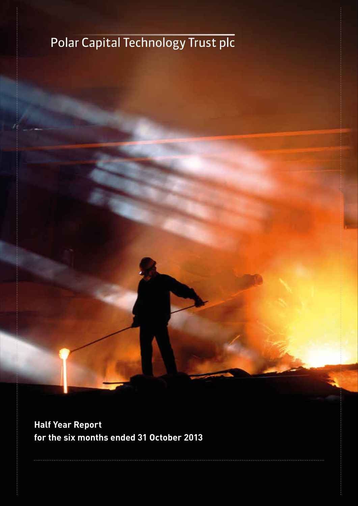# Polar Capital Technology Trust plc

**Half Year Report for the six months ended 31 October 2013**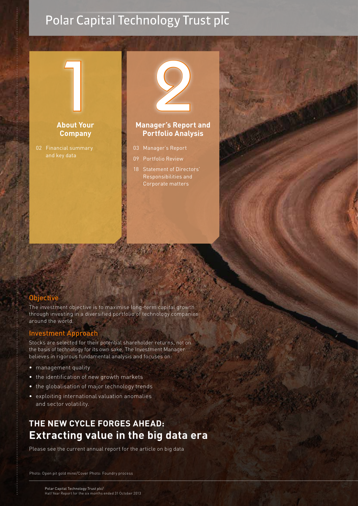# Polar Capital Technology Trust plc



# **Company**

and key data



#### **Manager's Report and Portfolio Analysis**

- 03 Manager's Report
- 09 Portfolio Review
- 18 Statement of Directors' Responsibilities and Corporate matters



#### **Objective**

The investment objective is to maximise long-term capital growth through investing in a diversified portfolio of technology companies around the world.

#### Investment Approach

Stocks are selected for their potential shareholder returns, not on the basis of technology for its own sake. The Investment Manager believes in rigorous fundamental analysis and focuses on:

- management quality
- the identification of new growth markets
- the globalisation of major technology trends
- exploiting international valuation anomalies and sector volatility.

# **THE NEW CYCLE FORGES AHEAD: Extracting value in the big data era**

Please see the current annual report for the article on big data

Photo: Open pit gold mine/Cover Photo: Foundry process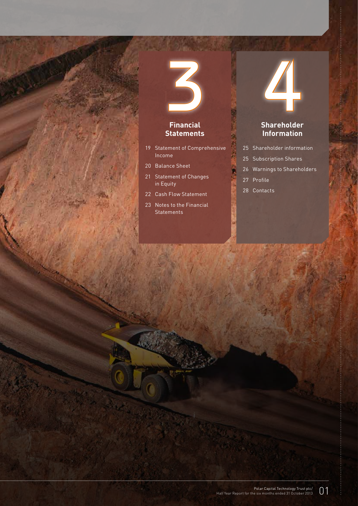# 3 **Financial**

# **Statements**

- 19 Statement of Comprehensive Income
- 20 Balance Sheet
- 21 Statement of Changes in Equity
- 22 Cash Flow Statement
- 23 Notes to the Financial **Statements**

# 4

#### **Shareholder Information**

- 25 Shareholder information
- 25 Subscription Shares
- 26 Warnings to Shareholders
- 27 Profile
- 28 Contacts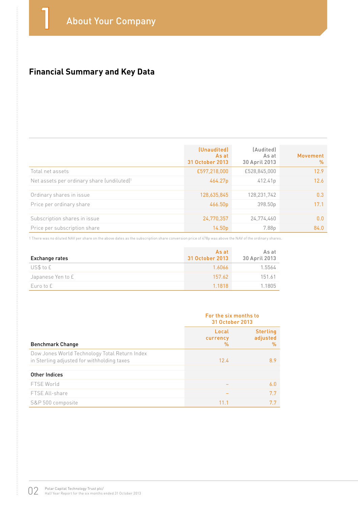# **Financial Summary and Key Data**

|                                                        | (Unaudited)<br>As at<br>31 October 2013 | (Audited)<br>As at<br>30 April 2013 | Movement<br>$\frac{0}{0}$ |
|--------------------------------------------------------|-----------------------------------------|-------------------------------------|---------------------------|
| Total net assets                                       | £597,218,000                            | £528,845,000                        | 12.9                      |
| Net assets per ordinary share (undiluted) <sup>1</sup> | 464.27p                                 | 412.41p                             | 12.6                      |
| Ordinary shares in issue                               | 128,635,845                             | 128,231,742                         | 0.3                       |
| Price per ordinary share                               | 466.50p                                 | 398.50p                             | 17.1                      |
|                                                        |                                         |                                     |                           |
| Subscription shares in issue                           | 24,770,357                              | 24,774,460                          | 0.0                       |
| Price per subscription share                           | 14.50 <sub>p</sub>                      | 7.88p                               | 84.0                      |

1 There was no diluted NAV per share on the above dates as the subscription share conversion price of 478p was above the NAV of the ordinary shares.

| Exchange rates    | As at<br>31 October 2013 | As at<br>30 April 2013 |
|-------------------|--------------------------|------------------------|
| US\$ to £         | 1.6066                   | 1.5564                 |
| Japanese Yen to £ | 157.62                   | 151.61                 |
| Euro to £         | 1.1818                   | 1.1805                 |

|                                                                                             | For the six months to<br>31 October 2013 |                                  |  |
|---------------------------------------------------------------------------------------------|------------------------------------------|----------------------------------|--|
| <b>Benchmark Change</b>                                                                     | Local<br>currency<br>$\%$                | <b>Sterling</b><br>adjusted<br>% |  |
| Dow Jones World Technology Total Return Index<br>in Sterling adjusted for withholding taxes | 12.4                                     | 8.9                              |  |
| Other Indices                                                                               |                                          |                                  |  |
| FTSE World                                                                                  |                                          | 6.0                              |  |
| FTSE All-share                                                                              |                                          | 7.7                              |  |
| S&P 500 composite                                                                           | 11.1                                     | 7.7                              |  |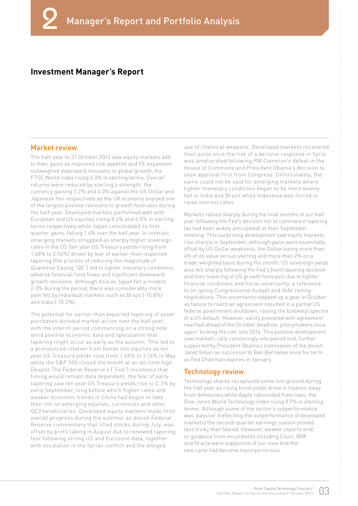#### **Investment Manager's Report**

#### Market review

The half-year to 31 October 2013 saw equity markets add to their gains as improved risk appetite and PE expansion outweighed downward revisions to global growth, the FTSE World index rising 6.0% in sterling terms. Overall returns were reduced by sterling's strength, the currency gaining 3.2% and 4.0% against the US Dollar and Japanese Yen respectively as the UK economy enjoyed one of the largest positive revisions to growth forecasts during the half-year. Developed markets performed well with European and US equities rising 8.4% and 6.5% in sterling terms respectively while Japan consolidated its first quarter gains, falling 1.6% over the half year. In contrast, emerging markets struggled as sharply higher sovereign rates in the US (ten year US Treasury yields rising from 1.68% to 2.54%) driven by fear of earlier-than-expected tapering (the process of reducing the magnitude of Quantitive Easing "QE") led to tighter monetary conditions, adverse financial fund flows and significant downward growth revisions. Although Asia ex Japan fell a modest 2.3% during the period, there was considerably more pain felt by individual markets such as Brazil (-10.8%) and India (-10.2%).

The potential for earlier than expected tapering of asset purchases dictated market action over the half year, with the interim period commencing on a strong note amid positive economic data and speculation that tapering might occur as early as the autumn. This led to a pronounced rotation from bonds into equities as ten year US Treasury yields rose from 1.68% to 2.16% in May while the S&P 500 closed the month at an all-time high. Despite The Federal Reserve's ("Fed") insistence that timing would remain data dependent, the fear of early tapering saw ten year US Treasury yields rise to C.3% by early September, long before which higher rates and weaker economic trends in China had begun to take their toll on emerging equities, currencies and other QE3 beneficiaries. Developed equity markets made little overall progress during the summer as dovish Federal Reserve commentary that lifted stocks during July, was offset by profit taking in August due to renewed tapering fear following strong US and Eurozone data, together with escalation in the Syrian conflict and the alleged

use of chemical weapons. Developed markets recovered their poise once the risk of a decisive response in Syria was ameliorated following PM Cameron's defeat in the House of Commons and President Obama's decision to seek approval first from Congress. Unfortunately, the same could not be said for emerging markets where tighter monetary conditions began to be more keenly felt in India and Brazil while Indonesia was forced to raise interest rates.

Markets rallied sharply during the final months of our half year following the Fed's decision not to commence tapering (as had been widely anticipated) at their September meeting. This surprising development saw equity markets rise sharply in September, although gains were essentially offset by US Dollar weakness, the Dollar losing more than 4% of its value versus sterling and more than 2% on a trade-weighted basis during the month. US sovereign yields also fell sharply following the Fed's (non) tapering decision and their lowering of US growth forecasts due to tighter financial conditions and fiscal uncertainty, a reference to on-going Congressional budget and debt ceiling negotiations. This uncertainty stepped up a gear in October as failure to reach an agreement resulted in a partial US federal government shutdown, raising the (unlikely) spectre of a US default. However, sanity prevailed with agreement reached ahead of the October deadline, policymakers once again 'kicking the can' into 2014. This positive development saw markets rally convincingly into period end, further supported by President Obama's nomination of the dovish Janet Yellen as successor to Ben Bernanke once his term as Fed Chairman expires in January.

#### Technology review

Technology shares recaptured some lost ground during the half year as rising bond yields drove a rotation away from defensives while Apple rebounded from lows, the Dow Jones World Technology index rising 8.9% in sterling terms. Although some of the sector's outperformance was 'passive' (reflecting the outperformance of developed markets) the second-quarter earnings season proved less tricky than feared. However, weaker reports and/ or guidance from incumbents including Cisco, IBM and Oracle were supportive of our view that the new cycle had become more pernicious.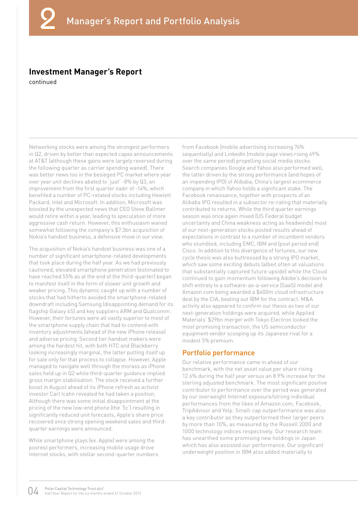#### **Investment Manager's Report**

continued

Networking stocks were among the strongest performers in Q2, driven by better than expected capex announcements at AT&T (although these gains were largely reversed during the following quarter as carrier spending waned). There was better news too in the besieged PC market where year over year unit declines abated to 'just' -8% by Q3, an improvement from the first quarter nadir of -14%, which benefited a number of PC-related stocks including Hewlett Packard, Intel and Microsoft. In addition, Microsoft was boosted by the unexpected news that CEO Steve Ballmer would retire within a year, leading to speculation of more aggressive cash return. However, this enthusiasm waned somewhat following the company's \$7.3bn acquisition of Nokia's handset business, a defensive move in our view.

The acquisition of Nokia's handset business was one of a number of significant smartphone-related developments that took place during the half year. As we had previously cautioned, elevated smartphone penetration (estimated to have reached 55% as at the end of the third-quarter) began to manifest itself in the form of slower unit growth and weaker pricing. This dynamic caught up with a number of stocks that had hitherto avoided the smartphone-related downdraft including Samsung (disappointing demand for its flagship Galaxy 4S) and key suppliers ARM and Qualcomm. However, their fortunes were all vastly superior to most of the smartphone supply chain that had to contend with inventory adjustments (ahead of the new iPhone release) and adverse pricing. Second tier handset makers were among the hardest hit, with both HTC and Blackberry looking increasingly marginal, the latter putting itself up for sale only for that process to collapse. However, Apple managed to navigate well through the morass as iPhone sales held up in Q2 while third-quarter guidance implied gross margin stabilisation. The stock received a further boost in August ahead of its iPhone refresh as activist investor Carl Icahn revealed he had taken a position. Although there was some initial disappointment at the pricing of the new low-end phone (the '5c') resulting in significantly reduced unit forecasts, Apple's share price recovered once strong opening weekend sales and thirdquarter earnings were announced.

While smartphone plays (ex. Apple) were among the poorest performers, increasing mobile usage drove Internet stocks, with stellar second-quarter numbers

from Facebook (mobile advertising increasing 76% sequentially) and LinkedIn (mobile page views rising 69% over the same period) propelling social media stocks. Search companies Google and Yahoo also performed well, the latter driven by the strong performance (and hopes of an impending IPO) of Alibaba, China's largest ecommerce company in which Yahoo holds a significant stake. The Facebook renaissance, together with prospects of an Alibaba IPO resulted in a subsector re-rating that materially contributed to returns. While the third quarter earnings season was once again mixed (US Federal budget uncertainty and China weakness acting as headwinds) most of our next-generation stocks posted results ahead of expectations in contrast to a number of incumbent vendors who stumbled, including EMC, IBM and (post period end) Cisco. In addition to this divergence of fortunes, our new cycle thesis was also buttressed by a strong IPO market, which saw some exciting debuts (albeit often at valuations that substantially captured future upside) while the Cloud continued to gain momentum following Adobe's decision to shift entirely to a software-as-a-service (SaaS) model and Amazon.com being awarded a \$600m cloud infrastructure deal by the CIA, beating out IBM for the contract. M&A activity also appeared to confirm our thesis as two of our next-generation holdings were acquired, while Applied Materials' \$29bn merger with Tokyo Electron looked the most promising transaction, the US semiconductor equipment vendor scooping up its Japanese rival for a modest 5% premium.

#### Portfolio performance

Our relative performance came in ahead of our benchmark, with the net asset value per share rising 12.6% during the half year versus an 8.9% increase for the sterling adjusted benchmark. The most significant positive contributor to performance over the period was generated by our overweight Internet exposure/strong individual performances from the likes of Amazon.com, Facebook, TripAdvisor and Yelp. Small-cap outperformance was also a key contributor as they outperformed their larger peers by more than 10%, as measured by the Russell 2000 and 1000 technology indices respectively. Our research team has unearthed some promising new holdings in Japan which has also assisted our performance. Our significant underweight position in IBM also added materially to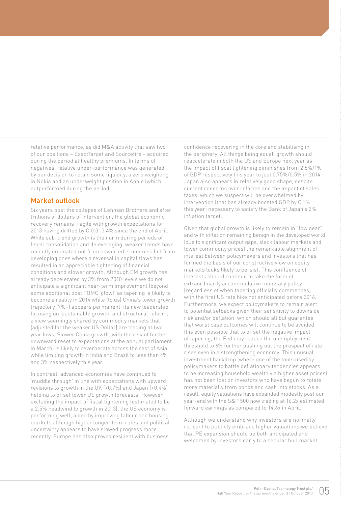relative performance, as did M&A activity that saw two of our positions – ExactTarget and Sourcefire – acquired during the period at healthy premiums. In terms of negatives, relative under-performance was generated by our decision to retain some liquidity, a zero weighting in Nokia and an underweight position in Apple (which outperformed during the period).

#### Market outlook

Six years post the collapse of Lehman Brothers and after trillions of dollars of intervention, the global economic recovery remains fragile with growth expectations for 2013 having drifted by C.0.3–0.4% since the end of April. While sub-trend growth is the norm during periods of fiscal consolidation and deleveraging, weaker trends have recently emanated not from advanced economies but from developing ones where a reversal in capital flows has resulted in an appreciable tightening of financial conditions and slower growth. Although EM growth has already decelerated by 3% from 2010 levels we do not anticipate a significant near-term improvement (beyond some additional post FOMC 'glow)' as tapering is likely to become a reality in 2014 while (to us) China's lower growth trajectory (7%+) appears permanent, its new leadership focusing on 'sustainable growth' and structural reform, a view seemingly shared by commodity markets that (adjusted for the weaker US Dollar) are trading at two year lows. Slower China growth (with the risk of further downward reset to expectations at the annual parliament in March) is likely to reverberate across the rest of Asia while limiting growth in India and Brazil to less than 4% and 3% respectively this year.

In contrast, advanced economies have continued to 'muddle through' in line with expectations with upward revisions to growth in the UK (+0.7%) and Japan (+0.4%) helping to offset lower US growth forecasts. However, excluding the impact of fiscal tightening (estimated to be a 2.5% headwind to growth in 2013), the US economy is performing well, aided by improving labour and housing markets although higher longer-term rates and political uncertainty appears to have slowed progress more recently. Europe has also proved resilient with business

confidence recovering in the core and stabilising in the periphery. All things being equal, growth should reaccelerate in both the US and Europe next year as the impact of fiscal tightening diminishes from 2.5%/1% of GDP respectively this year to just 0.75%/0.5% in 2014. Japan also appears in relatively good shape, despite current concerns over reforms and the impact of sales taxes, which we suspect will be overwhelmed by intervention (that has already boosted GDP by C.1% this year) necessary to satisfy the Bank of Japan's 2% inflation target.

Given that global growth is likely to remain in "low gear" and with inflation remaining benign in the developed world (due to significant output gaps, slack labour markets and lower commodity prices) the remarkable alignment of interest between policymakers and investors that has formed the basis of our constructive view on equity markets looks likely to persist. This confluence of interests should continue to take the form of extraordinarily accommodative monetary policy (regardless of when tapering officially commences) with the first US rate hike not anticipated before 2016. Furthermore, we expect policymakers to remain alert to potential setbacks given their sensitivity to downside risk and/or deflation, which should all but guarantee that worst case outcomes will continue to be avoided. It is even possible that to offset the negative impact of tapering, the Fed may reduce the unemployment threshold to 6% further pushing out the prospect of rate rises even in a strengthening economy. This unusual investment backdrop (where one of the tools used by policymakers to battle deflationary tendencies appears to be increasing household wealth via higher asset prices) has not been lost on investors who have begun to rotate more materially from bonds and cash into stocks. As a result, equity valuations have expanded modestly post our year-end with the S&P 500 now trading at 16.2x estimated forward earnings as compared to 14.6x in April.

Although we understand why investors are normally reticent to publicly embrace higher valuations we believe that PE expansion should be both anticipated and welcomed by investors early to a secular bull market.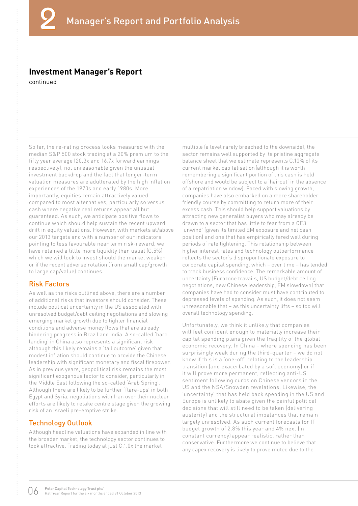#### **Investment Manager's Report**

continued

So far, the re-rating process looks measured with the median S&P 500 stock trading at a 20% premium to the fifty year average (20.3x and 16.7x forward earnings respectively), not unreasonable given the unusual investment backdrop and the fact that longer-term valuation measures are adulterated by the high inflation experiences of the 1970s and early 1980s. More importantly, equities remain attractively valued compared to most alternatives, particularly so versus cash where negative real returns appear all but guaranteed. As such, we anticipate positive flows to continue which should help sustain the recent upward drift in equity valuations. However, with markets at/above our 2013 targets and with a number of our indicators pointing to less favourable near term risk-reward, we have retained a little more liquidity than usual (C.5%) which we will look to invest should the market weaken or if the recent adverse rotation (from small cap/growth to large cap/value) continues.

#### Risk Factors

As well as the risks outlined above, there are a number of additional risks that investors should consider. These include political uncertainty in the US associated with unresolved budget/debt ceiling negotiations and slowing emerging market growth due to tighter financial conditions and adverse money flows that are already hindering progress in Brazil and India. A so-called 'hard landing' in China also represents a significant risk although this likely remains a 'tail outcome' given that modest inflation should continue to provide the Chinese leadership with significant monetary and fiscal firepower. As in previous years, geopolitical risk remains the most significant exogenous factor to consider, particularly in the Middle East following the so-called 'Arab Spring'. Although there are likely to be further 'flare-ups' in both Egypt and Syria, negotiations with Iran over their nuclear efforts are likely to retake centre stage given the growing risk of an Israeli pre-emptive strike.

#### Technology Outlook

Although headline valuations have expanded in line with the broader market, the technology sector continues to look attractive. Trading today at just C.1.0x the market

multiple (a level rarely breached to the downside), the sector remains well supported by its pristine aggregate balance sheet that we estimate represents C.10% of its current market capitalisation (although it is worth remembering a significant portion of this cash is held offshore and would be subject to a 'haircut' in the absence of a repatriation window). Faced with slowing growth, companies have also embarked on a more shareholder friendly course by committing to return more of their excess cash. This should help support valuations by attracting new generalist buyers who may already be drawn to a sector that has little to fear from a QE3 'unwind' (given its limited EM exposure and net cash position) and one that has empirically fared well during periods of rate tightening. This relationship between higher interest rates and technology outperformance reflects the sector's disproportionate exposure to corporate capital spending, which – over time – has tended to track business confidence. The remarkable amount of uncertainty (Eurozone travails, US budget/debt ceiling negotiations, new Chinese leadership, EM slowdown) that companies have had to consider must have contributed to depressed levels of spending. As such, it does not seem unreasonable that – as this uncertainty lifts – so too will overall technology spending.

Unfortunately, we think it unlikely that companies will feel confident enough to materially increase their capital spending plans given the fragility of the global economic recovery. In China – where spending has been surprisingly weak during the third-quarter – we do not know if this is a 'one-off' relating to the leadership transition (and exacerbated by a soft economy) or if it will prove more permanent, reflecting anti-US sentiment following curbs on Chinese vendors in the US and the NSA/Snowden revelations. Likewise, the 'uncertainty' that has held back spending in the US and Europe is unlikely to abate given the painful political decisions that will still need to be taken (delivering austerity) and the structural imbalances that remain largely unresolved. As such current forecasts for IT budget growth of 2.8% this year and 4% next (in constant currency) appear realistic, rather than conservative. Furthermore we continue to believe that any capex recovery is likely to prove muted due to the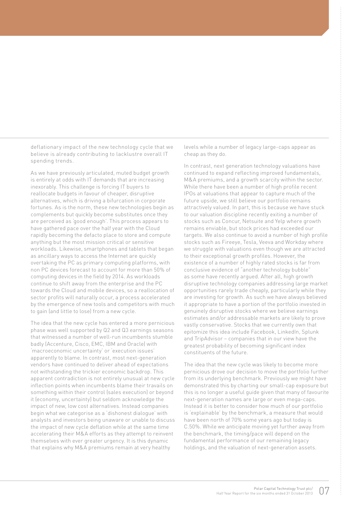deflationary impact of the new technology cycle that we believe is already contributing to lacklustre overall IT spending trends.

As we have previously articulated, muted budget growth is entirely at odds with IT demands that are increasing inexorably. This challenge is forcing IT buyers to reallocate budgets in favour of cheaper, disruptive alternatives, which is driving a bifurcation in corporate fortunes. As is the norm, these new technologies begin as complements but quickly become substitutes once they are perceived as 'good enough'. This process appears to have gathered pace over the half year with the Cloud rapidly becoming the defacto place to store and compute anything but the most mission critical or sensitive workloads. Likewise, smartphones and tablets that began as ancillary ways to access the Internet are quickly overtaking the PC as primary computing platforms, with non PC devices forecast to account for more than 50% of computing devices in the field by 2014. As workloads continue to shift away from the enterprise and the PC towards the Cloud and mobile devices, so a reallocation of sector profits will naturally occur, a process accelerated by the emergence of new tools and competitors with much to gain (and little to lose) from a new cycle.

The idea that the new cycle has entered a more pernicious phase was well supported by Q2 and Q3 earnings seasons that witnessed a number of well-run incumbents stumble badly (Accenture, Cisco, EMC, IBM and Oracle) with 'macroeconomic uncertainty' or 'execution issues' apparently to blame. In contrast, most next-generation vendors have continued to deliver ahead of expectations not withstanding the trickier economic backdrop. This apparent contradiction is not entirely unusual at new cycle inflection points when incumbents blame their travails on something within their control (sales execution) or beyond it (economy, uncertainty) but seldom acknowledge the impact of new, low cost alternatives. Instead companies begin what we categorise as a 'dishonest dialogue' with analysts and investors being unaware or unable to discuss the impact of new cycle deflation while at the same time accelerating their M&A efforts as they attempt to reinvent themselves with ever greater urgency. It is this dynamic that explains why M&A premiums remain at very healthy

levels while a number of legacy large-caps appear as cheap as they do.

In contrast, next generation technology valuations have continued to expand reflecting improved fundamentals, M&A premiums, and a growth scarcity within the sector. While there have been a number of high profile recent IPOs at valuations that appear to capture much of the future upside, we still believe our portfolio remains attractively valued. In part, this is because we have stuck to our valuation discipline recently exiting a number of stocks such as Concur, Netsuite and Yelp where growth remains enviable, but stock prices had exceeded our targets. We also continue to avoid a number of high profile stocks such as Fireeye, Tesla, Veeva and Workday where we struggle with valuations even though we are attracted to their exceptional growth profiles. However, the existence of a number of highly rated stocks is far from conclusive evidence of "another technology bubble" as some have recently argued. After all, high growth disruptive technology companies addressing large market opportunities rarely trade cheaply, particularly while they are investing for growth. As such we have always believed it appropriate to have a portion of the portfolio invested in genuinely disruptive stocks where we believe earnings estimates and/or addressable markets are likely to prove vastly conservative. Stocks that we currently own that epitomize this idea include Facebook, LinkedIn, Splunk and TripAdvisor – companies that in our view have the greatest probability of becoming significant index constituents of the future.

The idea that the new cycle was likely to become more pernicious drove our decision to move the portfolio further from its underlying benchmark. Previously we might have demonstrated this by charting our small-cap exposure but this is no longer a useful guide given that many of favourite next-generation names are large or even mega-caps. Instead it is better to consider how much of our portfolio is 'explainable' by the benchmark, a measure that would have been north of 70% some years ago but today is C.50%. While we anticipate moving yet further away from the benchmark, the timing/pace will depend on the fundamental performance of our remaining legacy holdings, and the valuation of next-generation assets.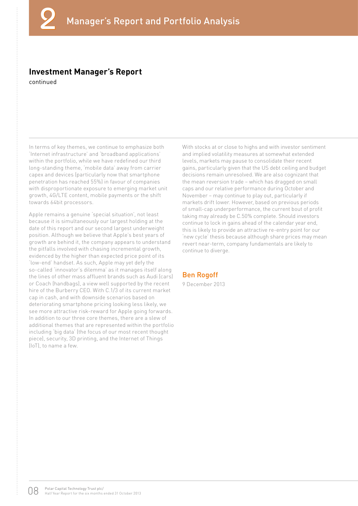#### **Investment Manager's Report**

continued

In terms of key themes, we continue to emphasize both 'Internet infrastructure' and 'broadband applications' within the portfolio, while we have redefined our third long-standing theme, 'mobile data' away from carrier capex and devices (particularly now that smartphone penetration has reached 55%) in favour of companies with disproportionate exposure to emerging market unit growth, 4G/LTE content, mobile payments or the shift towards 64bit processors.

Apple remains a genuine 'special situation', not least because it is simultaneously our largest holding at the date of this report and our second largest underweight position. Although we believe that Apple's best years of growth are behind it, the company appears to understand the pitfalls involved with chasing incremental growth, evidenced by the higher than expected price point of its 'low-end' handset. As such, Apple may yet defy the so-called 'innovator's dilemma' as it manages itself along the lines of other mass affluent brands such as Audi (cars) or Coach (handbags), a view well supported by the recent hire of the Burberry CEO. With C.1/3 of its current market cap in cash, and with downside scenarios based on deteriorating smartphone pricing looking less likely, we see more attractive risk-reward for Apple going forwards. In addition to our three core themes, there are a slew of additional themes that are represented within the portfolio including 'big data' (the focus of our most recent thought piece), security, 3D printing, and the Internet of Things (IoT), to name a few.

With stocks at or close to highs and with investor sentiment and implied volatility measures at somewhat extended levels, markets may pause to consolidate their recent gains, particularly given that the US debt ceiling and budget decisions remain unresolved. We are also cognizant that the mean reversion trade – which has dragged on small caps and our relative performance during October and November – may continue to play out, particularly if markets drift lower. However, based on previous periods of small-cap underperformance, the current bout of profit taking may already be C.50% complete. Should investors continue to lock in gains ahead of the calendar year end, this is likely to provide an attractive re-entry point for our 'new cycle' thesis because although share prices may mean revert near-term, company fundamentals are likely to continue to diverge.

#### Ben Rogoff

9 December 2013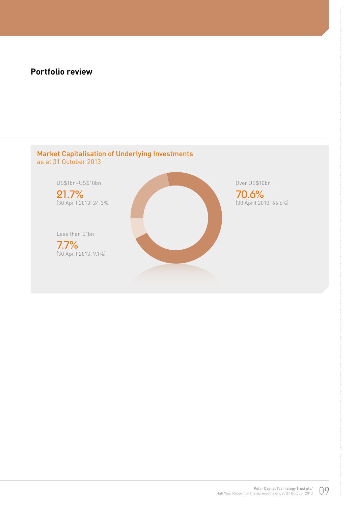#### **Portfolio review**

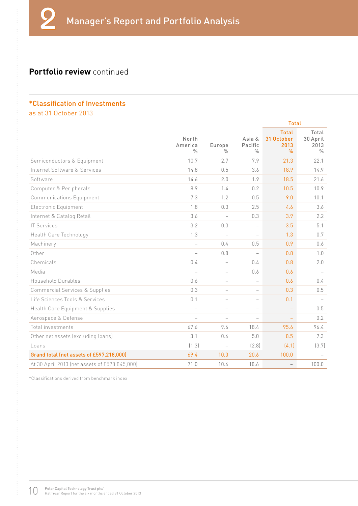#### **Portfolio review** continued

#### \*Classification of Investments as at 31 October 2013

|                                               |                                   |                          |                                    | <b>Total</b>                               |                                            |
|-----------------------------------------------|-----------------------------------|--------------------------|------------------------------------|--------------------------------------------|--------------------------------------------|
|                                               | North<br>America<br>$\frac{0}{0}$ | Europe<br>$\frac{0}{n}$  | Asia &<br>Pacific<br>$\frac{0}{n}$ | <b>Total</b><br>31 October<br>2013<br>$\%$ | Total<br>30 April<br>2013<br>$\frac{0}{0}$ |
| Semiconductors & Equipment                    | 10.7                              | 2.7                      | 7.9                                | 21.3                                       | 22.1                                       |
| Internet Software & Services                  | 14.8                              | 0.5                      | 3.6                                | 18.9                                       | 14.9                                       |
| Software                                      | 14.6                              | 2.0                      | 1.9                                | 18.5                                       | 21.6                                       |
| Computer & Peripherals                        | 8.9                               | 1.4                      | 0.2                                | 10.5                                       | 10.9                                       |
| <b>Communications Equipment</b>               | 7.3                               | 1.2                      | 0.5                                | 9.0                                        | 10.1                                       |
| Electronic Equipment                          | 1.8                               | 0.3                      | 2.5                                | 4.6                                        | 3.6                                        |
| Internet & Catalog Retail                     | 3.6                               | $\overline{\phantom{a}}$ | 0.3                                | 3.9                                        | 2.2                                        |
| <b>IT Services</b>                            | 3.2                               | 0.3                      | $\overline{\phantom{0}}$           | 3.5                                        | 5.1                                        |
| Health Care Technology                        | 1.3                               | $\overline{\phantom{0}}$ | $\overline{\phantom{0}}$           | 1.3                                        | 0.7                                        |
| Machinery                                     | $\overline{\phantom{0}}$          | 0.4                      | 0.5                                | 0.9                                        | 0.6                                        |
| Other                                         | $\overline{\phantom{0}}$          | 0.8                      | $\overline{\phantom{0}}$           | 0.8                                        | 1.0                                        |
| Chemicals                                     | 0.4                               | $\overline{\phantom{0}}$ | 0.4                                | 0.8                                        | 2.0                                        |
| Media                                         |                                   | $\overline{\phantom{0}}$ | 0.6                                | 0.6                                        |                                            |
| Household Durables                            | 0.6                               | $\overline{\phantom{0}}$ | $\overline{\phantom{0}}$           | 0.6                                        | 0.4                                        |
| <b>Commercial Services &amp; Supplies</b>     | 0.3                               | $\overline{\phantom{0}}$ | $\overline{\phantom{a}}$           | 0.3                                        | 0.5                                        |
| Life Sciences Tools & Services                | 0.1                               |                          | $\overline{\phantom{a}}$           | 0.1                                        | $\overline{\phantom{0}}$                   |
| Health Care Equipment & Supplies              | $\overline{\phantom{0}}$          | $\overline{\phantom{0}}$ | $\overline{\phantom{0}}$           |                                            | 0.5                                        |
| Aerospace & Defense                           | $\frac{1}{2}$                     | $\overline{\phantom{0}}$ | $\overline{\phantom{0}}$           | $\equiv$                                   | 0.2                                        |
| Total investments                             | 67.6                              | 9.6                      | 18.4                               | 95.6                                       | 96.4                                       |
| Other net assets (excluding loans)            | 3.1                               | 0.4                      | 5.0                                | 8.5                                        | 7.3                                        |
| Loans                                         | (1.3)                             |                          | (2.8)                              | (4.1)                                      | (3.7)                                      |
| Grand total (net assets of £597,218,000)      | 69.4                              | 10.0                     | 20.6                               | 100.0                                      |                                            |
| At 30 April 2013 (net assets of £528,845,000) | 71.0                              | 10.4                     | 18.6                               | $\overline{\phantom{0}}$                   | 100.0                                      |

\*Classifications derived from benchmark index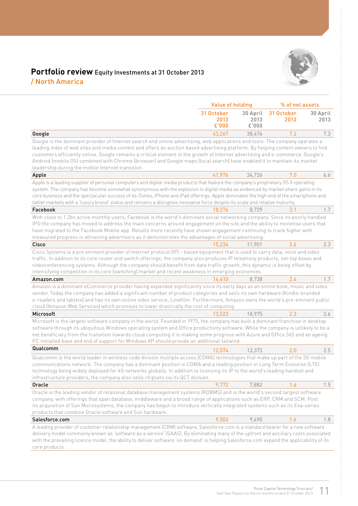

#### **Portfolio review** Equity Investments at 31 October 2013 / North America

|                                                                                                                                                                                                                                                                                                                                                                                                                                                                                                                                                                                      | <b>Value of holding</b>     |                           | % of net assets    |                  |
|--------------------------------------------------------------------------------------------------------------------------------------------------------------------------------------------------------------------------------------------------------------------------------------------------------------------------------------------------------------------------------------------------------------------------------------------------------------------------------------------------------------------------------------------------------------------------------------|-----------------------------|---------------------------|--------------------|------------------|
|                                                                                                                                                                                                                                                                                                                                                                                                                                                                                                                                                                                      | 31 October<br>2013<br>£'000 | 30 April<br>2013<br>£'000 | 31 October<br>2013 | 30 April<br>2013 |
| Google                                                                                                                                                                                                                                                                                                                                                                                                                                                                                                                                                                               | 43,267                      | 38,476                    | 7.2                | 7.3              |
| Google is the dominant provider of Internet search and online advertising, web applications and tools. The company operates a<br>leading index of web sites and media content and offers an auction based advertising platform. By helping content owners to find<br>customers efficiently online, Google remains a critical element in the growth of Internet advertising and e-commerce. Google's<br>Android (mobile OS) combined with Chrome (browser) and Google maps (local search) have enabled it to maintain its market<br>leadership during the mobile Internet transition. |                             |                           |                    |                  |
| Apple                                                                                                                                                                                                                                                                                                                                                                                                                                                                                                                                                                                | 41,976                      | 34.726                    | 7.0                | 6.6              |
| Apple is a leading supplier of personal computers and digital media products that feature the company's proprietary OS X operating<br>system. The company has become somewhat synonymous with the explosion in digital media as evidenced by market share gains in its<br>core business and the spectacular success of its iTunes, iPhone and iPad offerings. Apple dominates the high end of the smartphone and<br>tablet markets with a 'luxury brand' status and remains a disruptive innovative force despite its scale and relative maturity.                                   |                             |                           |                    |                  |
| Facebook                                                                                                                                                                                                                                                                                                                                                                                                                                                                                                                                                                             | 18,276                      | 8,729                     | 3.1                | 1.7              |
| With close to 1.2bn active monthly users, Facebook is the world's dominant social networking company. Since its poorly handled<br>IPO the company has moved to address the main concerns around engagement on the site and the ability to monetise users that<br>have migrated to the Facebook Mobile app. Results more recently have shown engagement continuing to track higher with<br>measured progress in attracting advertisers as it demonstrates the advantages of social advertising.                                                                                       |                             |                           |                    |                  |
| Cisco                                                                                                                                                                                                                                                                                                                                                                                                                                                                                                                                                                                | 15,234                      | 11,901                    | 2.6                | 2.3              |
| Cisco Systems is a pre eminent provider of Internet protocol (IP) - based equipment that is used to carry data, voice and video<br>traffic. In addition to its core router and switch offerings, the company also produces IP telephony products, set-top boxes and<br>videoconferencing systems. Although the company should benefit from data traffic growth, this dynamic is being offset by<br>intensifying competition in its core (switching) market and recent weakness in emerging economies.                                                                                |                             |                           |                    |                  |
| Amazon.com                                                                                                                                                                                                                                                                                                                                                                                                                                                                                                                                                                           | 14,410                      | 8,738                     | 2.4                | 1.7              |
| Amazon is a dominant eCommerce provider having expanded significantly since its early days as an online book, music and video<br>vendor. Today the company has added a significant number of product categories and sells its own hardware (Kindle-branded<br>e-readers and tablets) and has its own online video service, Lovefilm. Furthermore, Amazon owns the world's pre-eminent public<br>cloud (Amazon Web Services) which promises to lower drastically the cost of computing.                                                                                               |                             |                           |                    |                  |
| Microsoft                                                                                                                                                                                                                                                                                                                                                                                                                                                                                                                                                                            | 13,523                      | 18,975                    | 2.3                | 3.6              |
| Microsoft is the largest software company in the world. Founded in 1975, the company has built a dominant franchise in desktop<br>software through its ubiquitous Windows operating system and Office productivity software. While the company is unlikely to be a<br>net beneficiary from the transition towards cloud computing it is making some progress with Azure and Office 365 and an ageing<br>PC installed base and end of support for Windows XP should provide an additional tailwind.                                                                                   |                             |                           |                    |                  |
| Qualcomm                                                                                                                                                                                                                                                                                                                                                                                                                                                                                                                                                                             | 12,074                      | 13,373                    | 2.0                | 2.5              |
| Qualcomm is the world leader in wireless code division multiple access (CDMA) technologies that make up part of the 3G mobile<br>communications network. The company has a dominant position in CDMA and a leading position in Long Term Evolution (LTE)<br>technology being widely deployed for 4G networks globally. In addition to licensing its IP to the world's leading handset and<br>infrastructure providers, the company also sells chipsets via its QCT division.                                                                                                         |                             |                           |                    |                  |
| Oracle                                                                                                                                                                                                                                                                                                                                                                                                                                                                                                                                                                               | 9,772                       | 7,882                     | 1.6                | 1.5              |
| Oracle is the leading vendor of relational database management systems (RDBMS) and is the world's second largest software<br>company, with offerings that span database, middleware and a broad range of applications such as ERP, CRM and SCM. Post<br>its acquisition of Sun Microsystems, the company has begun to introduce vertically integrated systems such as its Exa-series<br>products that combine Oracle software and Sun hardware.                                                                                                                                      |                             |                           |                    |                  |
| Salesforce.com                                                                                                                                                                                                                                                                                                                                                                                                                                                                                                                                                                       | 9,503                       | 9,490                     | 1.6                | 1.8              |
| A leading provider of customer relationship management (CRM) software, Salesforce.com is a standard bearer for a new software<br>delivery model commonly known as 'software as a service' (SAAS). By eliminating many of the upfront and ancillary costs associated<br>with the prevailing licence model, the ability to deliver software 'on demand' is helping Salesforce.com expand the applicability of its<br>core products.                                                                                                                                                    |                             |                           |                    |                  |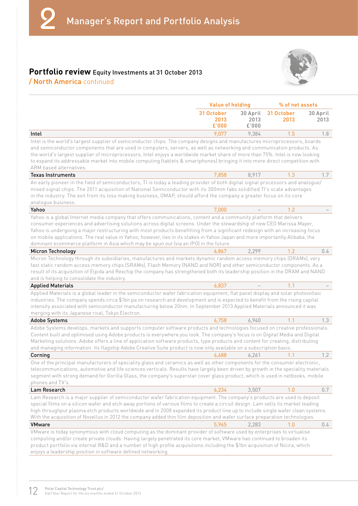#### **Portfolio review** Equity Investments at 31 October 2013 / North America continued



|                                                                                                                                                                                                                                                                                                                                                                                                                                                                                                                                                                                                          | <b>Value of holding</b>     |                           | % of net assets    |                  |
|----------------------------------------------------------------------------------------------------------------------------------------------------------------------------------------------------------------------------------------------------------------------------------------------------------------------------------------------------------------------------------------------------------------------------------------------------------------------------------------------------------------------------------------------------------------------------------------------------------|-----------------------------|---------------------------|--------------------|------------------|
|                                                                                                                                                                                                                                                                                                                                                                                                                                                                                                                                                                                                          | 31 October<br>2013<br>£'000 | 30 April<br>2013<br>£'000 | 31 October<br>2013 | 30 April<br>2013 |
| Intel                                                                                                                                                                                                                                                                                                                                                                                                                                                                                                                                                                                                    | 9,077                       | 9,384                     | 1.5                | 1.8              |
| Intel is the world's largest supplier of semiconductor chips. The company designs and manufactures microprocessors, boards<br>and semiconductor components that are used in computers, servers, as well as networking and communication products. As<br>the world's largest supplier of microprocessors, Intel enjoys a worldwide market share of more than 75%. Intel is now looking<br>to expand its addressable market into mobile computing (tablets & smartphones) bringing it into more direct competition with<br>ARM based alternatives.                                                         |                             |                           |                    |                  |
| <b>Texas Instruments</b>                                                                                                                                                                                                                                                                                                                                                                                                                                                                                                                                                                                 | 7,858                       | 8,917                     | 1.3                | 1.7              |
| An early pioneer in the field of semiconductors, TI is today a leading provider of both digital signal processors and analogue/<br>mixed signal chips. The 2011 acquisition of National Semiconductor with its 300mm fabs solidified TI's scale advantages<br>in the industry. The exit from its loss making business, OMAP, should afford the company a greater focus on its core<br>analogue business.                                                                                                                                                                                                 |                             |                           |                    |                  |
| Yahoo                                                                                                                                                                                                                                                                                                                                                                                                                                                                                                                                                                                                    | 7,000                       |                           | 1.2                |                  |
| Yahoo is a global Internet media company that offers communications, content and a community platform that delivers<br>consumer experiences and advertising solutions across digital screens. Under the stewardship of new CEO Marissa Mayer,<br>Yahoo is undergoing a major restructuring with most products benefitting from a significant redesign with an increasing focus<br>on mobile applications. The real value in Yahoo, however, lies in its stakes in Yahoo Japan and more importantly Alibaba, the<br>dominant ecommerce platform in Asia which may be spun out (via an IPO) in the future. |                             |                           |                    |                  |
| Micron Technology                                                                                                                                                                                                                                                                                                                                                                                                                                                                                                                                                                                        | 6,867                       | 2,299                     | 1.2                | 0.4              |
| fast static random access memory chips (SRAMs), Flash Memory (NAND and NOR) and other semiconductor components. As a<br>result of its acquisition of Elpida and Rexchip the company has strengthened both its leadership position in the DRAM and NAND<br>and is helping to consolidate the industry.<br><b>Applied Materials</b><br>Applied Materials is a global leader in the semiconductor wafer fabrication equipment, flat panel display and solar photovoltaic<br>industries. The company spends circa \$1bn pa on research and development and is expected to benefit from the rising capital    | 6,837                       |                           | 1.1                |                  |
| intensity associated with semiconductor manufacturing below 20nm. In September 2013 Applied Materials announced it was<br>merging with its Japanese rival, Tokyo Electron.                                                                                                                                                                                                                                                                                                                                                                                                                               |                             |                           |                    |                  |
| <b>Adobe Systems</b>                                                                                                                                                                                                                                                                                                                                                                                                                                                                                                                                                                                     | 6,758                       | 6,940                     | 1.1                | 1.3              |
| Adobe Systems develops, markets and supports computer software products and technologies focused on creative professionals.<br>Content built and optimised using Adobe products is everywhere you look. The company's focus is on Digital Media and Digital<br>Marketing solutions. Adobe offers a line of application software products, type products and content for creating, distributing<br>and managing information. Its flagship Adobe Creative Suite product is now only available on a subscription basis.                                                                                     |                             |                           |                    |                  |
| Corning                                                                                                                                                                                                                                                                                                                                                                                                                                                                                                                                                                                                  | 6,688                       | 6,261                     | 1.1                | 1.2              |
| One of the principal manufacturers of speciality glass and ceramics as well as other components for the consumer electronic,<br>telecommunications, automotive and life sciences verticals. Results have largely been driven by growth in the speciality materials<br>segment with strong demand for Gorilla Glass, the company's superstar cover glass product, which is used in netbooks, mobile<br>phones and TV's.                                                                                                                                                                                   |                             |                           |                    |                  |
| Lam Research                                                                                                                                                                                                                                                                                                                                                                                                                                                                                                                                                                                             | 6.234                       | 3,507                     | 1.0                | 0.7              |
| Lam Research is a major supplier of semiconductor wafer fabrication equipment. The company's products are used to deposit<br>special films on a silicon wafer and etch away portions of various films to create a circuit design. Lam sells its market leading<br>high throughput plasma etch products worldwide and in 2008 expanded its product line up to include single wafer clean systems.<br>With the acquisition of Novellus in 2012 the company added thin film deposition and wafer surface preparation technologies.                                                                          |                             |                           |                    |                  |
| <b>VMware</b>                                                                                                                                                                                                                                                                                                                                                                                                                                                                                                                                                                                            | 5,965                       | 2.283                     | 1.0                | $0.4^{\circ}$    |
| VMware is today synonymous with cloud computing as the dominant provider of software used by enterprises to virtualise<br>computing and/or create private clouds. Having largely penetrated its core market, VMware has continued to broaden its<br>product portfolio via internal R&D and a number of high profile acquisitions including the \$1bn acquisition of Nicira, which<br>enjoys a leadership position in software defined networking.                                                                                                                                                        |                             |                           |                    |                  |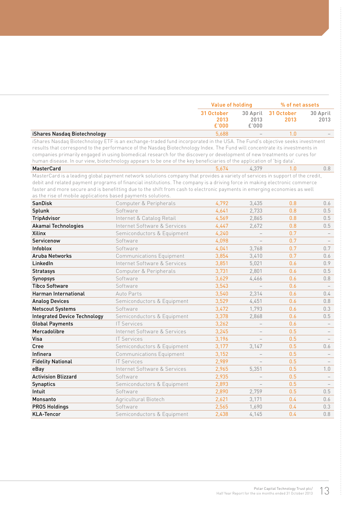|                                                              |                                                                                                                                                                                                                                                                                                                                                                                                                                                                                                                | <b>Value of holding</b>     |                           | % of net assets    |                                 |
|--------------------------------------------------------------|----------------------------------------------------------------------------------------------------------------------------------------------------------------------------------------------------------------------------------------------------------------------------------------------------------------------------------------------------------------------------------------------------------------------------------------------------------------------------------------------------------------|-----------------------------|---------------------------|--------------------|---------------------------------|
|                                                              |                                                                                                                                                                                                                                                                                                                                                                                                                                                                                                                | 31 October<br>2013<br>£'000 | 30 April<br>2013<br>£'000 | 31 October<br>2013 | 30 April<br>2013                |
| iShares Nasdaq Biotechnology                                 |                                                                                                                                                                                                                                                                                                                                                                                                                                                                                                                | 5.688                       |                           | 1.0                |                                 |
|                                                              | iShares Nasdaq Biotechnology ETF is an exchange-traded fund incorporated in the USA. The Fund's objective seeks investment<br>results that correspond to the performance of the Nasdaq Biotechnology Index. The Fund will concentrate its investments in<br>companies primarily engaged in using biomedical research for the discovery or development of new treatments or cures for<br>human disease. In our view, biotechnology appears to be one of the key beneficiaries of the application of 'big data'. |                             |                           |                    |                                 |
| <b>MasterCard</b>                                            |                                                                                                                                                                                                                                                                                                                                                                                                                                                                                                                | 5,674                       | 4.379                     | 1.0                | 0.8                             |
| as the rise of mobile applications based payments solutions. | MasterCard is a leading global payment network solutions company that provides a variety of services in support of the credit,<br>debit and related payment programs of financial institutions. The company is a driving force in making electronic commerce<br>faster and more secure and is benefitting due to the shift from cash to electronic payments in emerging economies as well                                                                                                                      |                             |                           |                    |                                 |
| <b>SanDisk</b>                                               | Computer & Peripherals                                                                                                                                                                                                                                                                                                                                                                                                                                                                                         | 4,792                       | 3,435                     | 0.8                | 0.6                             |
| Splunk                                                       | Software                                                                                                                                                                                                                                                                                                                                                                                                                                                                                                       | 4,641                       | 2,733                     | 0.8                | 0.5                             |
| <b>TripAdvisor</b>                                           | Internet & Catalog Retail                                                                                                                                                                                                                                                                                                                                                                                                                                                                                      | 4,569                       | 2,865                     | 0.8                | 0.5                             |
| Akamai Technologies                                          | Internet Software & Services                                                                                                                                                                                                                                                                                                                                                                                                                                                                                   | 4,447                       | 2,672                     | 0.8                | 0.5                             |
| Xilinx                                                       | Semiconductors & Equipment                                                                                                                                                                                                                                                                                                                                                                                                                                                                                     | 4,240                       | $\overline{\phantom{0}}$  | 0.7                | $\hspace{0.1mm}-\hspace{0.1mm}$ |
| Servicenow                                                   | Software                                                                                                                                                                                                                                                                                                                                                                                                                                                                                                       | 4,098                       |                           | 0.7                |                                 |
| Infoblox                                                     | Software                                                                                                                                                                                                                                                                                                                                                                                                                                                                                                       | 4,041                       | 3,768                     | 0.7                | 0.7                             |
| <b>Aruba Networks</b>                                        | <b>Communications Equipment</b>                                                                                                                                                                                                                                                                                                                                                                                                                                                                                | 3,854                       | 3,410                     | 0.7                | 0.6                             |
| LinkedIn                                                     | Internet Software & Services                                                                                                                                                                                                                                                                                                                                                                                                                                                                                   | 3,851                       | 5,021                     | 0.6                | 0.9                             |
| <b>Stratasys</b>                                             | Computer & Peripherals                                                                                                                                                                                                                                                                                                                                                                                                                                                                                         | 3,731                       | 2,801                     | 0.6                | 0.5                             |
| <b>Synopsys</b>                                              | Software                                                                                                                                                                                                                                                                                                                                                                                                                                                                                                       | 3,629                       | 4,466                     | 0.6                | 0.8                             |
| <b>Tibco Software</b>                                        | Software                                                                                                                                                                                                                                                                                                                                                                                                                                                                                                       | 3,543                       |                           | 0.6                |                                 |
| <b>Harman International</b>                                  | Auto Parts                                                                                                                                                                                                                                                                                                                                                                                                                                                                                                     | 3,540                       | 2,314                     | 0.6                | 0.4                             |
| <b>Analog Devices</b>                                        | Semiconductors & Equipment                                                                                                                                                                                                                                                                                                                                                                                                                                                                                     | 3,529                       | 4,451                     | 0.6                | 0.8                             |
| <b>Netscout Systems</b>                                      | Software                                                                                                                                                                                                                                                                                                                                                                                                                                                                                                       | 3,472                       | 1,793                     | 0.6                | 0.3                             |
| <b>Integrated Device Technology</b>                          | Semiconductors & Equipment                                                                                                                                                                                                                                                                                                                                                                                                                                                                                     | 3,378                       | 2,868                     | 0.6                | 0.5                             |
| <b>Global Payments</b>                                       | <b>IT Services</b>                                                                                                                                                                                                                                                                                                                                                                                                                                                                                             | 3,262                       |                           | 0.6                |                                 |
| Mercadolibre                                                 | Internet Software & Services                                                                                                                                                                                                                                                                                                                                                                                                                                                                                   | 3,245                       |                           | 0.5                |                                 |
| Visa                                                         | <b>IT Services</b>                                                                                                                                                                                                                                                                                                                                                                                                                                                                                             | 3,196                       |                           | 0.5                |                                 |
| Cree                                                         | Semiconductors & Equipment                                                                                                                                                                                                                                                                                                                                                                                                                                                                                     | 3,177                       | 3,147                     | 0.5                | 0.6                             |
| Infinera                                                     | <b>Communications Equipment</b>                                                                                                                                                                                                                                                                                                                                                                                                                                                                                | 3,152                       |                           | 0.5                |                                 |
| <b>Fidelity National</b>                                     | <b>IT Services</b>                                                                                                                                                                                                                                                                                                                                                                                                                                                                                             | 2,989                       |                           | 0.5                |                                 |
| eBay                                                         | Internet Software & Services                                                                                                                                                                                                                                                                                                                                                                                                                                                                                   | 2,965                       | 5,351                     | 0.5                | 1.0                             |
| <b>Activision Blizzard</b>                                   | Software                                                                                                                                                                                                                                                                                                                                                                                                                                                                                                       | 2,935                       |                           | 0.5                |                                 |
| <b>Synaptics</b>                                             | Semiconductors & Equipment                                                                                                                                                                                                                                                                                                                                                                                                                                                                                     | 2,893                       |                           | 0.5                | $\overline{\phantom{m}}$        |
| Intuit                                                       | Software                                                                                                                                                                                                                                                                                                                                                                                                                                                                                                       | 2,890                       | 2,759                     | 0.5                | 0.5                             |
| Monsanto                                                     | Agricultural Biotech                                                                                                                                                                                                                                                                                                                                                                                                                                                                                           | 2,621                       | 3,171                     | 0.4                | 0.6                             |
| <b>PROS Holdings</b>                                         | Software                                                                                                                                                                                                                                                                                                                                                                                                                                                                                                       | 2,565                       | 1,690                     | 0.4                | 0.3                             |
| <b>KLA-Tencor</b>                                            | Semiconductors & Equipment                                                                                                                                                                                                                                                                                                                                                                                                                                                                                     | 2,438                       | 4,145                     | 0.4                | 0.8                             |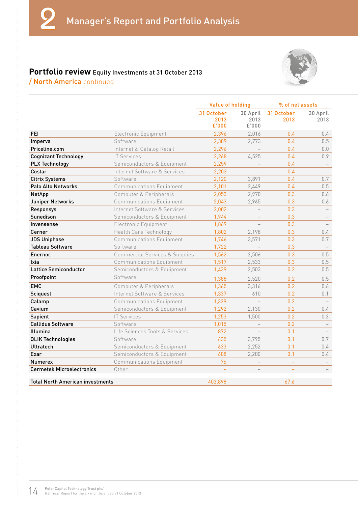

#### **Portfolio review** Equity Investments at 31 October 2013 / North America continued

|                                         |                                           | Value of holding            |                           | % of net assets    |                  |
|-----------------------------------------|-------------------------------------------|-----------------------------|---------------------------|--------------------|------------------|
|                                         |                                           | 31 October<br>2013<br>£'000 | 30 April<br>2013<br>£'000 | 31 October<br>2013 | 30 April<br>2013 |
| <b>FEI</b>                              | Electronic Equipment                      | 2,396                       | 2,016                     | 0.4                | $0.4^{\circ}$    |
| Imperva                                 | Software                                  | 2,389                       | 2,773                     | 0.4                | 0.5              |
| Priceline.com                           | Internet & Catalog Retail                 | 2,296                       |                           | 0.4                | 0.0              |
| <b>Cognizant Technology</b>             | <b>IT Services</b>                        | 2,268                       | 4,525                     | 0.4                | 0.9              |
| <b>PLX Technology</b>                   | Semiconductors & Equipment                | 2,259                       |                           | 0.4                |                  |
| Costar                                  | Internet Software & Services              | 2,203                       |                           | 0.4                |                  |
| <b>Citrix Systems</b>                   | Software                                  | 2,120                       | 3,891                     | 0.4                | 0.7              |
| Palo Alto Networks                      | <b>Communications Equipment</b>           | 2,101                       | 2,449                     | 0.4                | 0.5              |
| NetApp                                  | Computer & Peripherals                    | 2,053                       | 2,970                     | 0.3                | 0.6              |
| Juniper Networks                        | <b>Communications Equipment</b>           | 2,043                       | 2,965                     | 0.3                | 0.6              |
| Responsys                               | Internet Software & Services              | 2,002                       |                           | 0.3                |                  |
| Sunedison                               | Semiconductors & Equipment                | 1,944                       |                           | 0.3                |                  |
| Invensense                              | Electronic Equipment                      | 1,869                       |                           | 0.3                |                  |
| Cerner                                  | Health Care Technology                    | 1,802                       | 2,198                     | 0.3                | $0.4^{\circ}$    |
| <b>JDS Uniphase</b>                     | <b>Communications Equipment</b>           | 1,746                       | 3,571                     | 0.3                | 0.7              |
| <b>Tableau Software</b>                 | Software                                  | 1,722                       | $\overline{a}$            | 0.3                |                  |
| Enernoc                                 | <b>Commercial Services &amp; Supplies</b> | 1,562                       | 2,506                     | 0.3                | 0.5              |
| Ixia                                    | <b>Communications Equipment</b>           | 1,517                       | 2,533                     | 0.3                | 0.5              |
| <b>Lattice Semiconductor</b>            | Semiconductors & Equipment                | 1,439                       | 2,503                     | 0.2                | 0.5              |
| Proofpoint                              | Software                                  | 1,388                       | 2,520                     | 0.2                | 0.5              |
| <b>EMC</b>                              | Computer & Peripherals                    | 1,365                       | 3,316                     | 0.2                | 0.6              |
| Sciquest                                | Internet Software & Services              | 1,337                       | 610                       | 0.2                | 0.1              |
| Calamp                                  | <b>Communications Equipment</b>           | 1,329                       |                           | 0.2                |                  |
| Cavium                                  | Semiconductors & Equipment                | 1,292                       | 2,130                     | 0.2                | $0.4^{\circ}$    |
| Sapient                                 | <b>IT Services</b>                        | 1,253                       | 1,500                     | 0.2                | 0.3              |
| <b>Callidus Software</b>                | Software                                  | 1,015                       |                           | 0.2                |                  |
| Illumina                                | Life Sciences Tools & Services            | 872                         |                           | 0.1                |                  |
| <b>QLIK Technologies</b>                | Software                                  | 635                         | 3,795                     | 0.1                | 0.7              |
| Ultratech                               | Semiconductors & Equipment                | 633                         | 2,252                     | 0.1                | $0.4^{\circ}$    |
| Exar                                    | Semiconductors & Equipment                | 608                         | 2,200                     | 0.1                | 0.4              |
| <b>Numerex</b>                          | <b>Communications Equipment</b>           | 76                          |                           | $\equiv$           |                  |
| <b>Cermetek Microelectronics</b>        | Other                                     |                             |                           |                    |                  |
| <b>Total North American investments</b> |                                           | 403,898                     |                           | 67.6               |                  |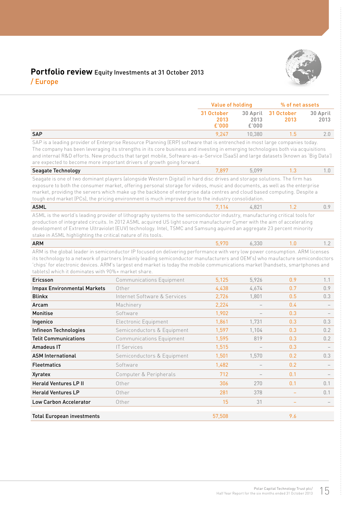

#### **Portfolio review** Equity Investments at 31 October 2013 / Europe

|                                                              |                                                                                                                                                                                                                                                                                                                                                                                                                                                                                             | <b>Value of holding</b>     |                           | % of net assets    |                  |
|--------------------------------------------------------------|---------------------------------------------------------------------------------------------------------------------------------------------------------------------------------------------------------------------------------------------------------------------------------------------------------------------------------------------------------------------------------------------------------------------------------------------------------------------------------------------|-----------------------------|---------------------------|--------------------|------------------|
|                                                              |                                                                                                                                                                                                                                                                                                                                                                                                                                                                                             | 31 October<br>2013<br>£'000 | 30 April<br>2013<br>£'000 | 31 October<br>2013 | 30 April<br>2013 |
| <b>SAP</b>                                                   |                                                                                                                                                                                                                                                                                                                                                                                                                                                                                             | 9,247                       | 10,380                    | 1.5                | 2.0              |
|                                                              | SAP is a leading provider of Enterprise Resource Planning (ERP) software that is entrenched in most large companies today.<br>The company has been leveraging its strengths in its core business and investing in emerging technologies both via acquisitions<br>and internal R&D efforts. New products that target mobile, Software-as-a-Service (SaaS) and large datasets (known as 'Big Data')<br>are expected to become more important drivers of growth going forward.                 |                             |                           |                    |                  |
| Seagate Technology                                           |                                                                                                                                                                                                                                                                                                                                                                                                                                                                                             | 7.897                       | 5.099                     | 1.3                | 1.0              |
|                                                              | Seagate is one of two dominant players (alongside Western Digital) in hard disc drives and storage solutions. The firm has<br>exposure to both the consumer market, offering personal storage for videos, music and documents, as well as the enterprise<br>market, providing the servers which make up the backbone of enterprise data centres and cloud based computing. Despite a<br>tough end market (PCs), the pricing environment is much improved due to the industry consolidation. |                             |                           |                    |                  |
| <b>ASML</b>                                                  |                                                                                                                                                                                                                                                                                                                                                                                                                                                                                             | 7.114                       | 4.821                     | 1.2                | 0.9              |
| stake in ASML highlighting the critical nature of its tools. | ASML is the world's leading provider of lithography systems to the semiconductor industry, manufacturing critical tools for<br>production of integrated circuits. In 2012 ASML acquired US light source manufacturer Cymer with the aim of accelerating<br>development of Extreme Ultraviolet (EUV) technology. Intel, TSMC and Samsung aquired an aggregate 23 percent minority                                                                                                            |                             |                           |                    |                  |
| <b>ARM</b>                                                   |                                                                                                                                                                                                                                                                                                                                                                                                                                                                                             | 5,970                       | 6.330                     | 1.0                | 1.2              |
| tablets) which it dominates with 90%+ market share.          | ARM is the global leader in semiconductor IP focused on delivering performance with very low power consumption. ARM licenses<br>its technology to a network of partners (mainly leading semiconductor manufacturers and OEM's) who maufacture semicondoctors<br>'chips' for electronic devices. ARM's largest end market is today the mobile communications market (handsets, smartphones and                                                                                               |                             |                           | 0.9                |                  |
| Ericsson                                                     | <b>Communications Equipment</b>                                                                                                                                                                                                                                                                                                                                                                                                                                                             | 5,125                       | 5,926                     |                    | 1.1              |
| <b>Impax Environmental Markets</b><br><b>Blinkx</b>          | Other<br>Internet Software & Services                                                                                                                                                                                                                                                                                                                                                                                                                                                       | 4,438<br>2,726              | 4,674<br>1,801            | 0.7<br>0.5         | 0.9<br>0.3       |
| Arcam                                                        | Machinery                                                                                                                                                                                                                                                                                                                                                                                                                                                                                   | 2,224                       |                           | 0.4                |                  |
| Monitise                                                     | Software                                                                                                                                                                                                                                                                                                                                                                                                                                                                                    | 1,902                       |                           | 0.3                |                  |
| Ingenico                                                     | Electronic Equipment                                                                                                                                                                                                                                                                                                                                                                                                                                                                        | 1,861                       | 1,731                     | 0.3                | 0.3              |
| Infineon Technologies                                        | Semiconductors & Equipment                                                                                                                                                                                                                                                                                                                                                                                                                                                                  | 1,597                       | 1,104                     | 0.3                | 0.2              |
| <b>Telit Communications</b>                                  | <b>Communications Equipment</b>                                                                                                                                                                                                                                                                                                                                                                                                                                                             | 1,595                       | 819                       | 0.3                | 0.2              |
| Amadeus IT                                                   | <b>IT Services</b>                                                                                                                                                                                                                                                                                                                                                                                                                                                                          | 1,515                       |                           | 0.3                |                  |
| <b>ASM International</b>                                     | Semiconductors & Equipment                                                                                                                                                                                                                                                                                                                                                                                                                                                                  | 1,501                       | 1,570                     | 0.2                | 0.3              |
| <b>Fleetmatics</b>                                           | Software                                                                                                                                                                                                                                                                                                                                                                                                                                                                                    | 1,482                       |                           | 0.2                |                  |
| Xyratex                                                      | Computer & Peripherals                                                                                                                                                                                                                                                                                                                                                                                                                                                                      | 712                         |                           | 0.1                |                  |
| <b>Herald Ventures LP II</b>                                 | Other                                                                                                                                                                                                                                                                                                                                                                                                                                                                                       | 306                         | 270                       | 0.1                | 0.1              |
| <b>Herald Ventures LP</b>                                    | Other                                                                                                                                                                                                                                                                                                                                                                                                                                                                                       | 281                         | 378                       |                    | 0.1              |
| Low Carbon Accelerator                                       | Other                                                                                                                                                                                                                                                                                                                                                                                                                                                                                       | 15                          | 31                        |                    |                  |
| <b>Total European investments</b>                            |                                                                                                                                                                                                                                                                                                                                                                                                                                                                                             | 57,508                      |                           | 9.6                |                  |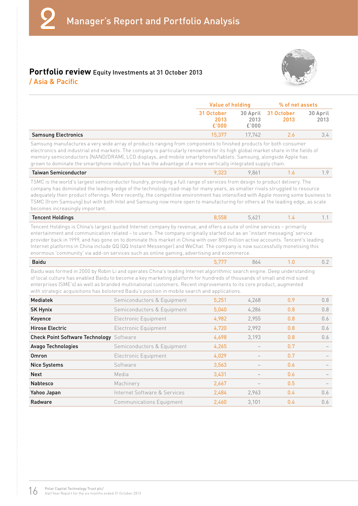#### **Portfolio review** Equity Investments at 31 October 2013



|  | / Asia & Pacific |  |
|--|------------------|--|
|  |                  |  |

|                            | Value of holding            |               | % of net assets             |                  |
|----------------------------|-----------------------------|---------------|-----------------------------|------------------|
|                            | 31 October<br>2013<br>£'000 | 2013<br>£'000 | 30 April 31 October<br>2013 | 30 April<br>2013 |
| <b>Samsung Electronics</b> | 15.377                      | 17.742        | 26                          | 3.4              |

Samsung manufactures a very wide array of products ranging from components to finished products for both consumer electronics and industrial end markets. The company is particularly renowned for its high global market share in the fields of memory semiconductors (NAND/DRAM), LCD displays, and mobile smartphones/tablets. Samsung, alongside Apple has grown to dominate the smartphone industry but has the advantage of a more vertically integrated supply chain.

| Taiwan Semiconductor |  | 86 |  |  |
|----------------------|--|----|--|--|
|----------------------|--|----|--|--|

TSMC is the world's largest semiconductor foundry, providing a full range of services from design to product delivery. The company has dominated the leading-edge of the technology road-map for many years, as smaller rivals struggled to resource adequately their product offerings. More recently, the competitive environment has intensified with Apple moving some business to TSMC (from Samsung) but with both Intel and Samsung now more open to manufacturing for others at the leading edge, as scale becomes increasingly important.

#### **Tencent Holdings** 8,558 5,621 1.4 1.1

Tencent Holdings is China's largest quoted Internet company by revenue, and offers a suite of online services – primarily entertainment and communication related – to users. The company originally started out as an 'instant messaging' service provider back in 1999, and has gone on to dominate this market in China with over 800 million active accounts. Tencent's leading Internet platforms in China include QQ (QQ Instant Messenger) and WeChat. The company is now successfully monetising this enormous 'community' via add-on services such as online gaming, advertising and ecommerce.

|  | -<br>$\Omega$<br>20100<br>$\sim$<br>$  -$<br>$ -$<br>$\sim$ $\sim$ $\sim$ |
|--|---------------------------------------------------------------------------|
|--|---------------------------------------------------------------------------|

Baidu was formed in 2000 by Robin Li and operates China's leading Internet algorithmic search engine. Deep understanding of local culture has enabled Baidu to become a key marketing platform for hundreds of thousands of small and mid sized enterprises (SME's) as well as branded multinational customers. Recent improvements to its core product, augmented with strategic acquisitions has bolstered Baidu's position in mobile search and applications.

| Mediatek                               | Semiconductors & Equipment      | 5,251 | 4.268 | 0.9 | 0.8 |
|----------------------------------------|---------------------------------|-------|-------|-----|-----|
| <b>SK Hynix</b>                        | Semiconductors & Equipment      | 5,040 | 4,286 | 0.8 | 0.8 |
| Keyence                                | Electronic Equipment            | 4,982 | 2,955 | 0.8 | 0.6 |
| Hirose Electric                        | Electronic Equipment            | 4,720 | 2,992 | 0.8 | 0.6 |
| <b>Check Point Software Technology</b> | Software                        | 4,698 | 3,193 | 0.8 | 0.6 |
| Avago Technologies                     | Semiconductors & Equipment      | 4,265 |       | 0.7 |     |
| Omron                                  | Electronic Equipment            | 4,029 |       | 0.7 |     |
| <b>Nice Systems</b>                    | Software                        | 3,563 |       | 0.6 |     |
| <b>Next</b>                            | Media                           | 3,431 |       | 0.6 |     |
| <b>Nabtesco</b>                        | Machinery                       | 2,667 |       | 0.5 |     |
| Yahoo Japan                            | Internet Software & Services    | 2,484 | 2.963 | 0.4 | 0.6 |
| Radware                                | <b>Communications Equipment</b> | 2.460 | 3.101 | 0.4 | 0.6 |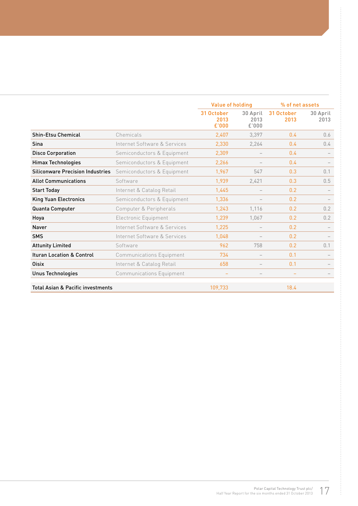|                                              |                                 | Value of holding            |                           | % of net assets    |                  |
|----------------------------------------------|---------------------------------|-----------------------------|---------------------------|--------------------|------------------|
|                                              |                                 | 31 October<br>2013<br>£'000 | 30 April<br>2013<br>£'000 | 31 October<br>2013 | 30 April<br>2013 |
| <b>Shin-Etsu Chemical</b>                    | Chemicals                       | 2,407                       | 3.397                     | 0.4                | 0.6              |
| Sina                                         | Internet Software & Services    | 2,330                       | 2.264                     | 0.4                | 0.4              |
| <b>Disco Corporation</b>                     | Semiconductors & Equipment      | 2,309                       |                           | 0.4                |                  |
| <b>Himax Technologies</b>                    | Semiconductors & Equipment      | 2,266                       |                           | 0.4                |                  |
| <b>Siliconware Precision Industries</b>      | Semiconductors & Equipment      | 1,967                       | 547                       | 0.3                | 0.1              |
| <b>Allot Communications</b>                  | Software                        | 1,939                       | 2,421                     | 0.3                | 0.5              |
| <b>Start Today</b>                           | Internet & Catalog Retail       | 1,445                       |                           | 0.2                |                  |
| <b>King Yuan Electronics</b>                 | Semiconductors & Equipment      | 1,336                       |                           | 0.2                |                  |
| Quanta Computer                              | Computer & Peripherals          | 1,243                       | 1.116                     | 0.2                | 0.2              |
| Hoya                                         | Electronic Equipment            | 1,239                       | 1.067                     | 0.2                | 0.2              |
| <b>Naver</b>                                 | Internet Software & Services    | 1,225                       |                           | 0.2                |                  |
| <b>SMS</b>                                   | Internet Software & Services    | 1,048                       |                           | 0.2                |                  |
| <b>Attunity Limited</b>                      | Software                        | 962                         | 758                       | 0.2                | 0.1              |
| <b>Ituran Location &amp; Control</b>         | <b>Communications Equipment</b> | 734                         |                           | 0.1                |                  |
| <b>Oisix</b>                                 | Internet & Catalog Retail       | 658                         |                           | 0.1                |                  |
| <b>Unus Technologies</b>                     | <b>Communications Equipment</b> |                             |                           |                    |                  |
| <b>Total Asian &amp; Pacific investments</b> |                                 | 109.733                     |                           | 18.4               |                  |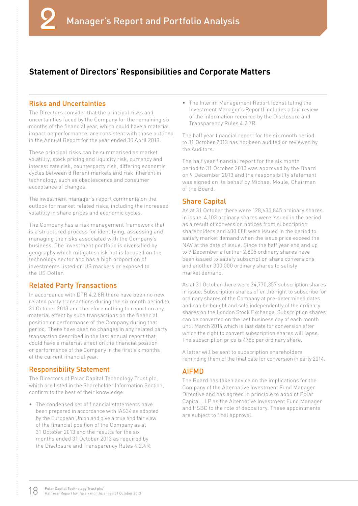#### **Statement of Directors' Responsibilities and Corporate Matters**

#### Risks and Uncertainties

The Directors consider that the principal risks and uncertainties faced by the Company for the remaining six months of the financial year, which could have a material impact on performance, are consistent with those outlined in the Annual Report for the year ended 30 April 2013.

These principal risks can be summarised as market volatility, stock pricing and liquidity risk, currency and interest rate risk, counterparty risk, differing economic cycles between different markets and risk inherent in technology, such as obsolescence and consumer acceptance of changes.

The investment manager's report comments on the outlook for market related risks, including the increased volatility in share prices and economic cycles.

The Company has a risk management framework that is a structured process for identifying, assessing and managing the risks associated with the Company's business. The investment portfolio is diversified by geography which mitigates risk but is focused on the technology sector and has a high proportion of investments listed on US markets or exposed to the US Dollar.

#### Related Party Transactions

In accordance with DTR 4.2.8R there have been no new related party transactions during the six month period to 31 October 2013 and therefore nothing to report on any material effect by such transactions on the financial position or performance of the Company during that period. There have been no changes in any related party transaction described in the last annual report that could have a material effect on the financial position or performance of the Company in the first six months of the current financial year.

#### Responsibility Statement

The Directors of Polar Capital Technology Trust plc, which are listed in the Shareholder Information Section, confirm to the best of their knowledge:

The condensed set of financial statements have been prepared in accordance with IAS34 as adopted by the European Union and give a true and fair view of the financial position of the Company as at 31 October 2013 and the results for the six months ended 31 October 2013 as required by the Disclosure and Transparency Rules 4.2.4R;

• The Interim Management Report (constituting the Investment Manager's Report) includes a fair review of the information required by the Disclosure and Transparency Rules 4.2.7R.

The half year financial report for the six month period to 31 October 2013 has not been audited or reviewed by the Auditors.

The half year financial report for the six month period to 31 October 2013 was approved by the Board on 9 December 2013 and the responsibility statement was signed on its behalf by Michael Moule, Chairman of the Board.

#### Share Capital

As at 31 October there were 128,635,845 ordinary shares in issue. 4,103 ordinary shares were issued in the period as a result of conversion notices from subscription shareholders and 400.000 were issued in the period to satisfy market demand when the issue price exceed the NAV at the date of issue. Since the half year end and up to 9 December a further 2,805 ordinary shares have been issued to satisfy subscription share conversions and another 300,000 ordinary shares to satisfy market demand.

As at 31 October there were 24,770,357 subscription shares in issue. Subscription shares offer the right to subscribe for ordinary shares of the Company at pre-determined dates and can be bought and sold independently of the ordinary shares on the London Stock Exchange. Subscription shares can be converted on the last business day of each month until March 2014 which is last date for conversion after which the right to convert subscription shares will lapse. The subscription price is 478p per ordinary share.

A letter will be sent to subscription shareholders reminding them of the final date for conversion in early 2014.

#### AIFMD

The Board has taken advice on the implications for the Company of the Alternative Investment Fund Manager Directive and has agreed in principle to appoint Polar Capital LLP as the Alternative Investment Fund Manager and HSBC to the role of depository. These appointments are subject to final approval.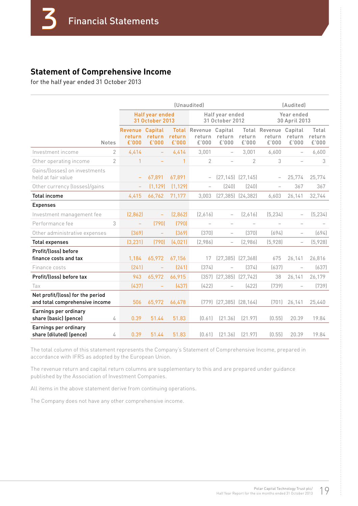#### **Statement of Comprehensive Income**

for the half year ended 31 October 2013

|                                                                    |                |                                           | (Unaudited)                        |                 |                                          |                                    |                         |                                  | (Audited)                   |                          |  |
|--------------------------------------------------------------------|----------------|-------------------------------------------|------------------------------------|-----------------|------------------------------------------|------------------------------------|-------------------------|----------------------------------|-----------------------------|--------------------------|--|
|                                                                    |                |                                           | Half year ended<br>31 October 2013 |                 |                                          | Half year ended<br>31 October 2012 |                         |                                  | Year ended<br>30 April 2013 |                          |  |
|                                                                    | <b>Notes</b>   | <b>Revenue Capital</b><br>return<br>£'000 | return<br>£'000                    | return<br>£'000 | Total Revenue Capital<br>return<br>£'000 | return<br>£'000                    | return<br>£'000         | Total Revenue<br>return<br>£'000 | Capital<br>return<br>£'000  | Total<br>return<br>£'000 |  |
| Investment income                                                  | 2              | 4,414                                     | $\qquad \qquad -$                  | 4,414           | 3,001                                    | $\qquad \qquad -$                  | 3,001                   | 6,600                            |                             | 6,600                    |  |
| Other operating income                                             | $\overline{2}$ | 1                                         |                                    | 1               | $\overline{2}$                           | $\overline{\phantom{0}}$           | 2                       | 3                                |                             | 3                        |  |
| Gains/Ilosses) on investments<br>held at fair value                |                | $\overline{\phantom{a}}$                  | 67,891                             | 67,891          | $\qquad \qquad -$                        |                                    | $(27, 145)$ $(27, 145)$ |                                  | 25,774                      | 25,774                   |  |
| Other currency (losses)/gains                                      |                |                                           | (1, 129)                           | (1, 129)        |                                          | (240)                              | (240)                   |                                  | 367                         | 367                      |  |
| <b>Total income</b>                                                |                | 4,415                                     | 66,762                             | 71,177          | 3,003                                    | (27, 385)                          | [24, 382]               | 6,603                            | 26,141                      | 32,744                   |  |
| <b>Expenses</b>                                                    |                |                                           |                                    |                 |                                          |                                    |                         |                                  |                             |                          |  |
| Investment management fee                                          |                | [2,862]                                   | $\equiv$                           | [2,862]         | [2,616]                                  | $\qquad \qquad -$                  | (2,616)                 | (5, 234)                         |                             | (5, 234)                 |  |
| Performance fee                                                    | 3              | $\equiv$                                  | (790)                              | (790)           | $\overline{\phantom{0}}$                 | $\qquad \qquad -$                  |                         |                                  |                             |                          |  |
| Other administrative expenses                                      |                | [369]                                     | $\equiv$                           | [369]           | (370)                                    | $\qquad \qquad -$                  | (370)                   | (694)                            | $\overline{\phantom{0}}$    | (694)                    |  |
| <b>Total expenses</b>                                              |                | (3, 231)                                  | (790)                              | (4,021)         | (2,986)                                  | $\overline{\phantom{0}}$           | (2,986)                 | (5,928)                          |                             | (5,928)                  |  |
| Profit/(loss) before<br>finance costs and tax                      |                | 1,184                                     | 65,972                             | 67,156          | 17                                       |                                    | $(27, 385)$ $(27, 368)$ | 675                              | 26,141                      | 26,816                   |  |
| Finance costs                                                      |                | [241]                                     |                                    | (241)           | (374)                                    |                                    | (374)                   | (637)                            |                             | (637)                    |  |
| Profit/(loss) before tax                                           |                | 943                                       | 65,972                             | 66,915          | (357)                                    | $(27, 385)$ $(27, 742)$            |                         | 38                               | 26,141                      | 26,179                   |  |
| Tax                                                                |                | [437]                                     |                                    | (437)           | (422)                                    |                                    | (422)                   | [739]                            |                             | (739)                    |  |
| Net profit/(loss) for the period<br>and total comprehensive income |                | 506                                       | 65,972                             | 66,478          | (779)                                    | $(27, 385)$ $(28, 164)$            |                         | (701)                            | 26,141                      | 25,440                   |  |
| Earnings per ordinary<br>share (basic) (pence)                     | 4              | 0.39                                      | 51.44                              | 51.83           | [0.61]                                   | [21.36]                            | (21.97)                 | (0.55)                           | 20.39                       | 19.84                    |  |
| Earnings per ordinary<br>share (diluted) (pence)                   | 4              | 0.39                                      | 51.44                              | 51.83           | [0.61]                                   | [21.36]                            | [21.97]                 | (0.55)                           | 20.39                       | 19.84                    |  |

The total column of this statement represents the Company's Statement of Comprehensive Income, prepared in accordance with IFRS as adopted by the European Union.

The revenue return and capital return columns are supplementary to this and are prepared under guidance published by the Association of Investment Companies.

All items in the above statement derive from continuing operations.

The Company does not have any other comprehensive income.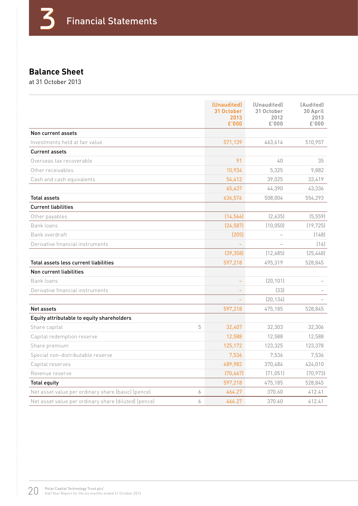# **Balance Sheet**

at 31 October 2013

|                                                      |   | (Unaudited)<br>31 October<br>2013<br>£'000 | (Unaudited)<br>31 October<br>2012<br>£'000 | (Audited)<br>30 April<br>2013<br>£'000 |
|------------------------------------------------------|---|--------------------------------------------|--------------------------------------------|----------------------------------------|
| Non current assets                                   |   |                                            |                                            |                                        |
| Investments held at fair value                       |   | 571,139                                    | 463,614                                    | 510,957                                |
| <b>Current assets</b>                                |   |                                            |                                            |                                        |
| Overseas tax recoverable                             |   | 91                                         | 40                                         | 35                                     |
| Other receivables                                    |   | 10,934                                     | 5,325                                      | 9,882                                  |
| Cash and cash equivalents                            |   | 54,412                                     | 39,025                                     | 33,419                                 |
|                                                      |   | 65,437                                     | 44,390                                     | 43,336                                 |
| <b>Total assets</b>                                  |   | 636,576                                    | 508,004                                    | 554,293                                |
| <b>Current liabilities</b>                           |   |                                            |                                            |                                        |
| Other payables                                       |   | (14, 566)                                  | (2,635)                                    | (5, 559)                               |
| Bank loans                                           |   | (24, 587)                                  | (10, 050)                                  | (19, 725)                              |
| Bank overdraft                                       |   | (205)                                      |                                            | (148)                                  |
| Derivative financial instruments                     |   |                                            |                                            | (16)                                   |
|                                                      |   | (39, 358)                                  | (12,685)                                   | (25, 448)                              |
| Total assets less current liabilities                |   | 597,218                                    | 495,319                                    | 528,845                                |
| Non current liabilities                              |   |                                            |                                            |                                        |
| Bank loans                                           |   |                                            | (20, 101)                                  |                                        |
| Derivative financial instruments                     |   |                                            | [33]                                       |                                        |
|                                                      |   |                                            | (20, 134)                                  |                                        |
| Net assets                                           |   | 597,218                                    | 475,185                                    | 528,845                                |
| Equity attributable to equity shareholders           |   |                                            |                                            |                                        |
| Share capital                                        | 5 | 32,407                                     | 32,303                                     | 32,306                                 |
| Capital redemption reserve                           |   | 12,588                                     | 12,588                                     | 12,588                                 |
| Share premium                                        |   | 125,172                                    | 123,325                                    | 123,378                                |
| Special non-distributable reserve                    |   | 7,536                                      | 7,536                                      | 7,536                                  |
| Capital reserves                                     |   | 489,982                                    | 370,484                                    | 424,010                                |
| Revenue reserve                                      |   | (70, 467)                                  | (71, 051)                                  | (70, 973)                              |
| <b>Total equity</b>                                  |   | 597,218                                    | 475,185                                    | 528,845                                |
| Net asset value per ordinary share (basic) (pence)   | 6 | 464.27                                     | 370.60                                     | 412.41                                 |
| Net asset value per ordinary share (diluted) (pence) | 6 | 464.27                                     | 370.60                                     | 412.41                                 |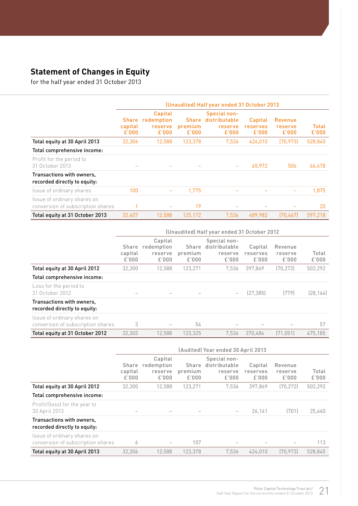# **Statement of Changes in Equity**

for the half year ended 31 October 2013

|                                                                  | (Unaudited) Half year ended 31 October 2013 |                                           |                                  |                                                   |                              |                             |                |  |
|------------------------------------------------------------------|---------------------------------------------|-------------------------------------------|----------------------------------|---------------------------------------------------|------------------------------|-----------------------------|----------------|--|
|                                                                  | <b>Share</b><br>capital<br>£'000            | Capital<br>redemption<br>reserve<br>£'000 | <b>Share</b><br>premium<br>£'000 | Special non-<br>distributable<br>reserve<br>£'000 | Capital<br>reserves<br>£'000 | Revenue<br>reserve<br>£'000 | Total<br>£'000 |  |
| Total equity at 30 April 2013                                    | 32.306                                      | 12,588                                    | 123,378                          | 7,536                                             | 424,010                      | (70, 973)                   | 528,845        |  |
| Total comprehensive income:                                      |                                             |                                           |                                  |                                                   |                              |                             |                |  |
| Profit for the period to<br>31 October 2013                      |                                             |                                           |                                  | $\qquad \qquad$                                   | 65,972                       | 506                         | 66,478         |  |
| Transactions with owners,<br>recorded directly to equity:        |                                             |                                           |                                  |                                                   |                              |                             |                |  |
| Issue of ordinary shares                                         | 100                                         | $\overline{\phantom{0}}$                  | 1.775                            |                                                   |                              |                             | 1.875          |  |
| Issue of ordinary shares on<br>conversion of subscription shares |                                             |                                           | 19                               |                                                   |                              |                             | 20             |  |
| Total equity at 31 October 2013                                  | 32.407                                      | 12.588                                    | 125.172                          | 7.536                                             | 489.982                      | [70.467]                    | 597.218        |  |

|                                                                  | (Unaudited) Half year ended 31 October 2012 |                                           |                           |                                                   |                              |                             |                |  |
|------------------------------------------------------------------|---------------------------------------------|-------------------------------------------|---------------------------|---------------------------------------------------|------------------------------|-----------------------------|----------------|--|
|                                                                  | Share<br>capital<br>£'000                   | Capital<br>redemption<br>reserve<br>£'000 | Share<br>premium<br>£'000 | Special non-<br>distributable<br>reserve<br>£'000 | Capital<br>reserves<br>£'000 | Revenue<br>reserve<br>£'000 | Total<br>£'000 |  |
| Total equity at 30 April 2012                                    | 32.300                                      | 12.588                                    | 123,271                   | 7.536                                             | 397.869                      | (70, 272)                   | 503,292        |  |
| Total comprehensive income:                                      |                                             |                                           |                           |                                                   |                              |                             |                |  |
| Loss for the period to<br>31 October 2012                        | $\qquad \qquad \blacksquare$                |                                           |                           | $\overline{\phantom{m}}$                          | (27, 385)                    | (779)                       | (28, 164)      |  |
| Transactions with owners,<br>recorded directly to equity:        |                                             |                                           |                           |                                                   |                              |                             |                |  |
| Issue of ordinary shares on<br>conversion of subscription shares | 3                                           |                                           | 54                        |                                                   |                              |                             | 57             |  |
| Total equity at 31 October 2012                                  | 32.303                                      | 12.588                                    | 123.325                   | 7.536                                             | 370.484                      | (71.051)                    | 475.185        |  |

|                                                                  | (Audited) Year ended 30 April 2013 |                                           |                           |                                                   |                              |                             |                |  |
|------------------------------------------------------------------|------------------------------------|-------------------------------------------|---------------------------|---------------------------------------------------|------------------------------|-----------------------------|----------------|--|
|                                                                  | Share<br>capital<br>£'000          | Capital<br>redemption<br>reserve<br>£'000 | Share<br>premium<br>£'000 | Special non-<br>distributable<br>reserve<br>£'000 | Capital<br>reserves<br>£'000 | Revenue<br>reserve<br>£'000 | Total<br>£'000 |  |
| Total equity at 30 April 2012                                    | 32.300                             | 12.588                                    | 123.271                   | 7.536                                             | 397.869                      | (70.272)                    | 503,292        |  |
| Total comprehensive income:                                      |                                    |                                           |                           |                                                   |                              |                             |                |  |
| Profit/(loss) for the year to<br>30 April 2013                   |                                    |                                           |                           |                                                   | 26,141                       | (701)                       | 25,440         |  |
| Transactions with owners,<br>recorded directly to equity:        |                                    |                                           |                           |                                                   |                              |                             |                |  |
| Issue of ordinary shares on<br>conversion of subscription shares | 6                                  | $\qquad \qquad$                           | 107                       |                                                   |                              |                             | 113            |  |
| Total equity at 30 April 2013                                    | 32.306                             | 12.588                                    | 123.378                   | 7.536                                             | 424.010                      | [70.973]                    | 528.845        |  |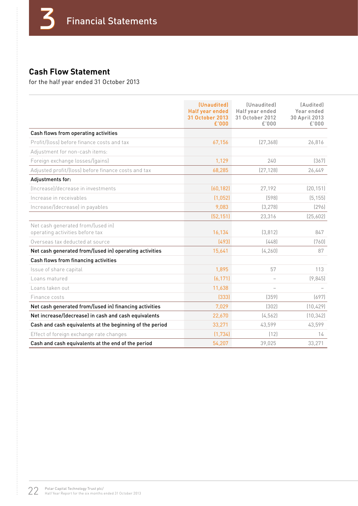## **Cash Flow Statement**

for the half year ended 31 October 2013

|                                                                      | <i>(Unaudited)</i><br>Half year ended<br>31 October 2013<br>£'000 | <i>(Unaudited)</i><br>Half year ended<br>31 October 2012<br>£'000 | [Audited]<br>Year ended<br>30 April 2013<br>£'000 |
|----------------------------------------------------------------------|-------------------------------------------------------------------|-------------------------------------------------------------------|---------------------------------------------------|
| Cash flows from operating activities                                 |                                                                   |                                                                   |                                                   |
| Profit/(loss) before finance costs and tax                           | 67,156                                                            | (27, 368)                                                         | 26,816                                            |
| Adjustment for non-cash items:                                       |                                                                   |                                                                   |                                                   |
| Foreign exchange losses/(gains)                                      | 1,129                                                             | 240                                                               | (367)                                             |
| Adjusted profit/(loss) before finance costs and tax                  | 68,285                                                            | [27, 128]                                                         | 26,449                                            |
| Adjustments for:                                                     |                                                                   |                                                                   |                                                   |
| (Increase)/decrease in investments                                   | (60, 182)                                                         | 27.192                                                            | (20, 151)                                         |
| Increase in receivables                                              | (1,052)                                                           | (598)                                                             | (5, 155)                                          |
| Increase/(decrease) in payables                                      | 9,083                                                             | (3, 278)                                                          | [296]                                             |
|                                                                      | (52, 151)                                                         | 23,316                                                            | (25,602)                                          |
| Net cash generated from/(used in)<br>operating activities before tax | 16,134                                                            | (3, 812)                                                          | 847                                               |
| Overseas tax deducted at source                                      | [493]                                                             | [448]                                                             | (760)                                             |
| Net cash generated from/(used in) operating activities               | 15,641                                                            | (4, 260)                                                          | 87                                                |
| Cash flows from financing activities                                 |                                                                   |                                                                   |                                                   |
| Issue of share capital                                               | 1,895                                                             | 57                                                                | 113                                               |
| Loans matured                                                        | (6, 171)                                                          |                                                                   | (9,845)                                           |
| Loans taken out                                                      | 11,638                                                            |                                                                   |                                                   |
| Finance costs                                                        | (333)                                                             | (359)                                                             | (697)                                             |
| Net cash generated from/(used in) financing activities               | 7,029                                                             | (302)                                                             | (10, 429)                                         |
| Net increase/(decrease) in cash and cash equivalents                 | 22,670                                                            | [4.562]                                                           | (10, 342)                                         |
| Cash and cash equivalents at the beginning of the period             | 33,271                                                            | 43,599                                                            | 43,599                                            |
| Effect of foreign exchange rate changes                              | (1, 734)                                                          | (12)                                                              | 14                                                |
| Cash and cash equivalents at the end of the period                   | 54,207                                                            | 39,025                                                            | 33,271                                            |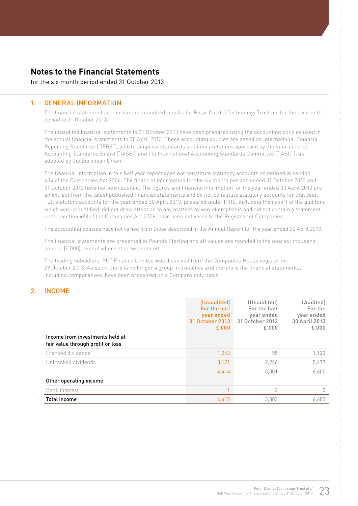#### **Notes to the Financial Statements**

#### for the six month period ended 31 October 2013

#### 1. GENERAL INFORMATION

The financial statements comprise the unaudited results for Polar Capital Technology Trust plc for the six month period to 31 October 2013.

The unaudited financial statements to 31 October 2013 have been prepared using the accounting policies used in the annual financial statements to 30 April 2013. These accounting policies are based on International Financial Reporting Standards ("IFRS"), which comprise standards and interpretations approved by the International Accounting Standards Board ("IASB") and the International Accounting Standards Committee ("IASC"), as adopted by the European Union.

The financial information in this half year report does not constitute statutory accounts as defined in section 434 of the Companies Act 2006. The financial information for the six month periods ended 31 October 2013 and 31 October 2012 have not been audited. The figures and financial information for the year ended 30 April 2013 are an extract from the latest published financial statements and do not constitute statutory accounts for that year. Full statutory accounts for the year ended 30 April 2013, prepared under IFRS, including the report of the auditors which was unqualified, did not draw attention to any matters by way of emphasis and did not contain a statement under section 498 of the Companies Act 2006, have been delivered to the Registrar of Companies.

The accounting policies have not varied from those described in the Annual Report for the year ended 30 April 2013.

The financial statements are presented in Pounds Sterling and all values are rounded to the nearest thousand pounds (£'000), except where otherwise stated.

The trading subsidiary, PCT Finance Limited was dissolved from the Companies House register on 29 October 2013. As such, there is no longer a group in existence and therefore the financial statements, including comparatives, have been presented on a Company only basis.

#### 2. INCOME

|                                                                      | (Unaudited)<br>For the half<br>year ended<br>31 October 2013<br>£'000 | (Unaudited)<br>For the half<br>year ended<br>31 October 2012<br>£'000 | (Audited)<br>For the<br>year ended<br>30 April 2013<br>£'000 |
|----------------------------------------------------------------------|-----------------------------------------------------------------------|-----------------------------------------------------------------------|--------------------------------------------------------------|
| Income from investments held at<br>fair value through profit or loss |                                                                       |                                                                       |                                                              |
| Franked dividends                                                    | 1,243                                                                 | 55                                                                    | 1,123                                                        |
| Unfranked dividends                                                  | 3,171                                                                 | 2,946                                                                 | 5,477                                                        |
|                                                                      | 4,414                                                                 | 3,001                                                                 | 6,600                                                        |
| Other operating income                                               |                                                                       |                                                                       |                                                              |
| Bank interest                                                        |                                                                       | 2                                                                     | 3                                                            |
| <b>Total income</b>                                                  | 4.415                                                                 | 3,003                                                                 | 6.603                                                        |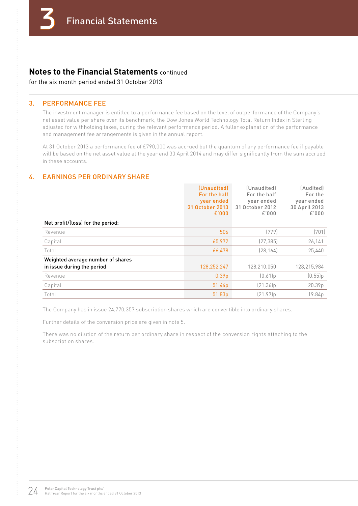#### **Notes to the Financial Statements** continued

for the six month period ended 31 October 2013

#### 3. PERFORMANCE FEE

The investment manager is entitled to a performance fee based on the level of outperformance of the Company's net asset value per share over its benchmark, the Dow Jones World Technology Total Return Index in Sterling adjusted for withholding taxes, during the relevant performance period. A fuller explanation of the performance and management fee arrangements is given in the annual report.

At 31 October 2013 a performance fee of £790,000 was accrued but the quantum of any performance fee if payable will be based on the net asset value at the year end 30 April 2014 and may differ significantly from the sum accrued in these accounts.

#### 4. EARNINGS PER ORDINARY SHARE

|                                                                 | (Unaudited)<br>For the half<br>year ended<br>31 October 2013<br>£'000 | (Unaudited)<br>For the half<br>year ended<br>31 October 2012<br>£'000 | (Audited)<br>For the<br>year ended<br>30 April 2013<br>£'000 |
|-----------------------------------------------------------------|-----------------------------------------------------------------------|-----------------------------------------------------------------------|--------------------------------------------------------------|
| Net profit/(loss) for the period:                               |                                                                       |                                                                       |                                                              |
| Revenue                                                         | 506                                                                   | (779)                                                                 | (701)                                                        |
| Capital                                                         | 65,972                                                                | [27, 385]                                                             | 26,141                                                       |
| Total                                                           | 66,478                                                                | (28, 164)                                                             | 25,440                                                       |
| Weighted average number of shares<br>in issue during the period | 128,252,247                                                           | 128,210,050                                                           | 128,215,984                                                  |
| Revenue                                                         | 0.39 <sub>p</sub>                                                     | (0.61]p                                                               | (0.55)p                                                      |
| Capital                                                         | 51.44 <sub>p</sub>                                                    | (21.36)p                                                              | 20.39p                                                       |
| Total                                                           | 51.83p                                                                | (21.97)p                                                              | 19.84p                                                       |

The Company has in issue 24,770,357 subscription shares which are convertible into ordinary shares.

Further details of the conversion price are given in note 5.

There was no dilution of the return per ordinary share in respect of the conversion rights attaching to the subscription shares.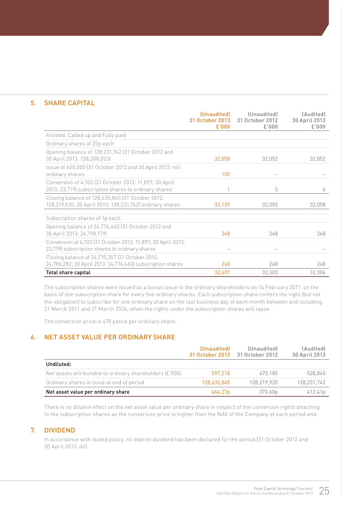#### 5. SHARE CAPITAL

|                                                                                                                | (Unaudited)<br>31 October 2013<br>£'000 | (Unaudited)<br>31 October 2012<br>£'000 | (Audited)<br>30 April 2013<br>£'000 |
|----------------------------------------------------------------------------------------------------------------|-----------------------------------------|-----------------------------------------|-------------------------------------|
| Allotted, Called up and Fully paid:                                                                            |                                         |                                         |                                     |
| Ordinary shares of 25p each                                                                                    |                                         |                                         |                                     |
| Opening balance of 128,231,742 (31 October 2012 and<br>30 April 2013: 128,208,023)                             | 32,058                                  | 32,052                                  | 32,052                              |
| Issue of 400,000 (31 October 2012 and 30 April 2013: nil)<br>ordinary shares                                   | 100                                     |                                         |                                     |
| Conversion of 4,103 (31 October 2012: 11,897; 30 April<br>2013: 23,719) subscription shares to ordinary shares |                                         | 3                                       | 6                                   |
| Closing balance of 128,635,845 (31 October 2012:<br>128,219,920; 30 April 2013: 128,231,742) ordinary shares   | 32,159                                  | 32,055                                  | 32,058                              |
| Subscription shares of 1p each:                                                                                |                                         |                                         |                                     |
| Opening balance of 24,774,460 (31 October 2012 and<br>30 April 2013: 24,798,179)                               | 248                                     | 248                                     | 248                                 |
| Conversion of 4,103 (31 October 2012: 11,897; 30 April 2013:<br>23,719) subscription shares to ordinary shares |                                         |                                         |                                     |
| Closing balance of 24,770,357 (31 October 2012:<br>24,786,282; 30 April 2013: 24,774,460) subscription shares  | 248                                     | 248                                     | 248                                 |
| Total share capital                                                                                            | 32,407                                  | 32,303                                  | 32,306                              |

The subscription shares were issued as a bonus issue to the ordinary shareholders on 14 February 2011, on the basis of one subscription share for every five ordinary shares. Each subscription share confers the right (but not the obligation) to subscribe for one ordinary share on the last business day of each month between and including 31 March 2011 and 31 March 2014, when the rights under the subscription shares will lapse.

The conversion price is 478 pence per ordinary share.

#### 6. NET ASSET VALUE PER ORDINARY SHARE

|                                                          | (Unaudited)         | (Unaudited)<br>31 October 2013 31 October 2012 | (Audited)<br>30 April 2013 |
|----------------------------------------------------------|---------------------|------------------------------------------------|----------------------------|
| Undiluted:                                               |                     |                                                |                            |
| Net assets attributable to ordinary shareholders (£'000) | 597.218             | 475.185                                        | 528.845                    |
| Ordinary shares in issue at end of period                | 128,635,845         | 128.219.920                                    | 128,231,742                |
| Net asset value per ordinary share                       | 464.27 <sub>p</sub> | 370.60p                                        | 412.41p                    |

There is no dilutive effect on the net asset value per ordinary share in respect of the conversion rights attaching to the subscription shares as the conversion price is higher than the NAV of the Company at each period end.

#### 7. DIVIDEND

In accordance with stated policy, no interim dividend has been declared for the period (31 October 2012 and 30 April 2013: nil).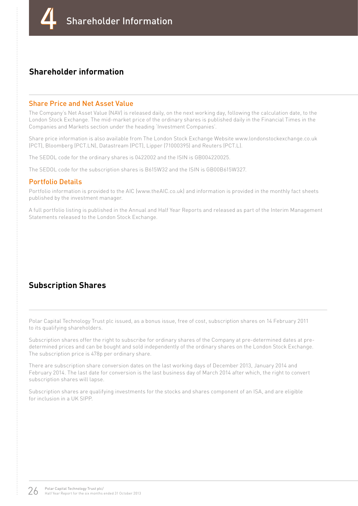#### **Shareholder information**

#### Share Price and Net Asset Value

The Company's Net Asset Value (NAV) is released daily, on the next working day, following the calculation date, to the London Stock Exchange. The mid-market price of the ordinary shares is published daily in the Financial Times in the Companies and Markets section under the heading 'Investment Companies'.

Share price information is also available from The London Stock Exchange Website www.londonstockexchange.co.uk (PCT), Bloomberg (PCT.LN), Datastream (PCT), Lipper (71000395) and Reuters (PCT.L).

The SEDOL code for the ordinary shares is 0422002 and the ISIN is GB004220025.

The SEDOL code for the subscription shares is B615W32 and the ISIN is GB00B615W327.

#### Portfolio Details

Portfolio information is provided to the AIC (www.theAIC.co.uk) and information is provided in the monthly fact sheets published by the investment manager.

A full portfolio listing is published in the Annual and Half Year Reports and released as part of the Interim Management Statements released to the London Stock Exchange.

#### **Subscription Shares**

Polar Capital Technology Trust plc issued, as a bonus issue, free of cost, subscription shares on 14 February 2011 to its qualifying shareholders.

Subscription shares offer the right to subscribe for ordinary shares of the Company at pre-determined dates at predetermined prices and can be bought and sold independently of the ordinary shares on the London Stock Exchange. The subscription price is 478p per ordinary share.

There are subscription share conversion dates on the last working days of December 2013, January 2014 and February 2014. The last date for conversion is the last business day of March 2014 after which, the right to convert subscription shares will lapse.

Subscription shares are qualifying investments for the stocks and shares component of an ISA, and are eligible for inclusion in a UK SIPP.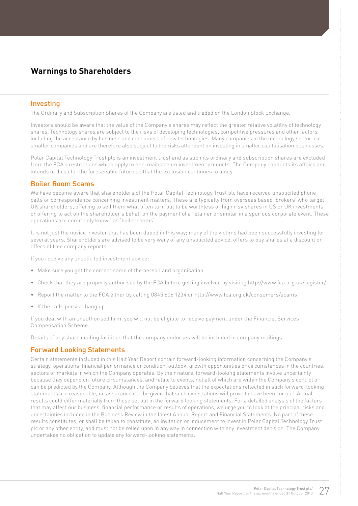#### **Warnings to Shareholders**

#### Investing

The Ordinary and Subscription Shares of the Company are listed and traded on the London Stock Exchange.

Investors should be aware that the value of the Company's shares may reflect the greater relative volatility of technology shares. Technology shares are subject to the risks of developing technologies, competitive pressures and other factors including the acceptance by business and consumers of new technologies. Many companies in the technology sector are smaller companies and are therefore also subject to the risks attendant on investing in smaller capitalisation businesses.

Polar Capital Technology Trust plc is an investment trust and as such its ordinary and subscription shares are excluded from the FCA's restrictions which apply to non-mainstream investment products. The Company conducts its affairs and intends to do so for the foreseeable future so that the exclusion continues to apply.

#### Boiler Room Scams

We have become aware that shareholders of the Polar Capital Technology Trust plc have received unsolicited phone calls or correspondence concerning investment matters. These are typically from overseas based 'brokers' who target UK shareholders, offering to sell them what often turn out to be worthless or high risk shares in US or UK investments or offering to act on the shareholder's behalf on the payment of a retainer or similar in a spurious corporate event. These operations are commonly known as 'boiler rooms'.

It is not just the novice investor that has been duped in this way; many of the victims had been successfully investing for several years. Shareholders are advised to be very wary of any unsolicited advice, offers to buy shares at a discount or offers of free company reports.

If you receive any unsolicited investment advice:

- Make sure you get the correct name of the person and organisation
- Check that they are properly authorised by the FCA before getting involved by visiting http://www.fca.org.uk/register/
- Report the matter to the FCA either by calling 0845 606 1234 or http://www.fca.org.uk/consumers/scams
- If the calls persist, hang up

If you deal with an unauthorised firm, you will not be eligible to receive payment under the Financial Services Compensation Scheme.

Details of any share dealing facilities that the company endorses will be included in company mailings.

#### Forward Looking Statements

Certain statements included in this Half Year Report contain forward-looking information concerning the Company's strategy, operations, financial performance or condition, outlook, growth opportunities or circumstances in the countries, sectors or markets in which the Company operates. By their nature, forward-looking statements involve uncertainty because they depend on future circumstances, and relate to events, not all of which are within the Company's control or can be predicted by the Company. Although the Company believes that the expectations reflected in such forward-looking statements are reasonable, no assurance can be given that such expectations will prove to have been correct. Actual results could differ materially from those set out in the forward looking statements. For a detailed analysis of the factors that may affect our business, financial performance or results of operations, we urge you to look at the principal risks and uncertainties included in the Business Review in the latest Annual Report and Financial Statements. No part of these results constitutes, or shall be taken to constitute, an invitation or inducement to invest in Polar Capital Technology Trust plc or any other entity, and must not be relied upon in any way in connection with any investment decision. The Company undertakes no obligation to update any forward-looking statements.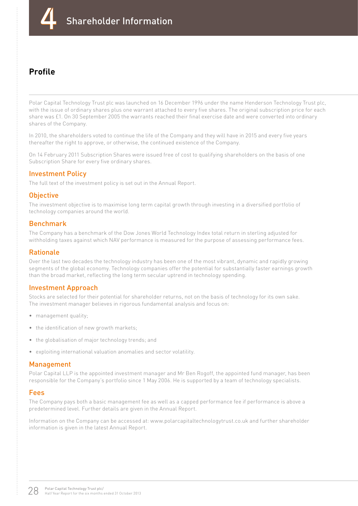

### **Profile**

Polar Capital Technology Trust plc was launched on 16 December 1996 under the name Henderson Technology Trust plc, with the issue of ordinary shares plus one warrant attached to every five shares. The original subscription price for each share was £1. On 30 September 2005 the warrants reached their final exercise date and were converted into ordinary shares of the Company.

In 2010, the shareholders voted to continue the life of the Company and they will have in 2015 and every five years thereafter the right to approve, or otherwise, the continued existence of the Company.

On 14 February 2011 Subscription Shares were issued free of cost to qualifying shareholders on the basis of one Subscription Share for every five ordinary shares.

#### Investment Policy

The full text of the investment policy is set out in the Annual Report.

#### **Objective**

The investment objective is to maximise long term capital growth through investing in a diversified portfolio of technology companies around the world.

#### Benchmark

The Company has a benchmark of the Dow Jones World Technology Index total return in sterling adjusted for withholding taxes against which NAV performance is measured for the purpose of assessing performance fees.

#### Rationale

Over the last two decades the technology industry has been one of the most vibrant, dynamic and rapidly growing segments of the global economy. Technology companies offer the potential for substantially faster earnings growth than the broad market, reflecting the long term secular uptrend in technology spending.

#### Investment Approach

Stocks are selected for their potential for shareholder returns, not on the basis of technology for its own sake. The investment manager believes in rigorous fundamental analysis and focus on:

- management quality;
- the identification of new growth markets;
- the globalisation of major technology trends; and
- exploiting international valuation anomalies and sector volatility.

#### Management

Polar Capital LLP is the appointed investment manager and Mr Ben Rogoff, the appointed fund manager, has been responsible for the Company's portfolio since 1 May 2006. He is supported by a team of technology specialists.

#### Fees

The Company pays both a basic management fee as well as a capped performance fee if performance is above a predetermined level. Further details are given in the Annual Report.

Information on the Company can be accessed at: www.polarcapitaltechnologytrust.co.uk and further shareholder information is given in the latest Annual Report.

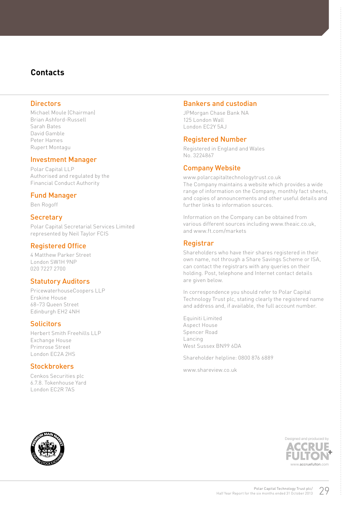#### **Contacts**

#### **Directors**

Michael Moule (Chairman) Brian Ashford-Russell Sarah Bates David Gamble Peter Hames Rupert Montagu

#### Investment Manager

Polar Capital LLP Authorised and regulated by the Financial Conduct Authority

#### Fund Manager

Ben Rogoff

#### **Secretary**

Polar Capital Secretarial Services Limited represented by Neil Taylor FCIS

#### Registered Office

4 Matthew Parker Street London SW1H 9NP 020 7227 2700

#### Statutory Auditors

PricewaterhouseCoopers LLP Erskine House 68–73 Queen Street Edinburgh EH2 4NH

#### **Solicitors**

Herbert Smith Freehills LLP Exchange House Primrose Street London EC2A 2HS

#### **Stockbrokers**

Cenkos Securities plc 6.7.8. Tokenhouse Yard London EC2R 7AS

#### Bankers and custodian

JPMorgan Chase Bank NA 125 London Wall London EC2Y 5AJ

#### Registered Number

Registered in England and Wales No. 3224867

#### Company Website

www.polarcapitaltechnologytrust.co.uk The Company maintains a website which provides a wide range of information on the Company, monthly fact sheets, and copies of announcements and other useful details and further links to information sources.

Information on the Company can be obtained from various different sources including www.theaic.co.uk, and www.ft.com/markets

#### Registrar

Shareholders who have their shares registered in their own name, not through a Share Savings Scheme or ISA, can contact the registrars with any queries on their holding. Post, telephone and Internet contact details are given below.

In correspondence you should refer to Polar Capital Technology Trust plc, stating clearly the registered name and address and, if available, the full account number.

Equiniti Limited Aspect House Spencer Road Lancing West Sussex BN99 6DA

Shareholder helpline: 0800 876 6889

www.shareview.co.uk